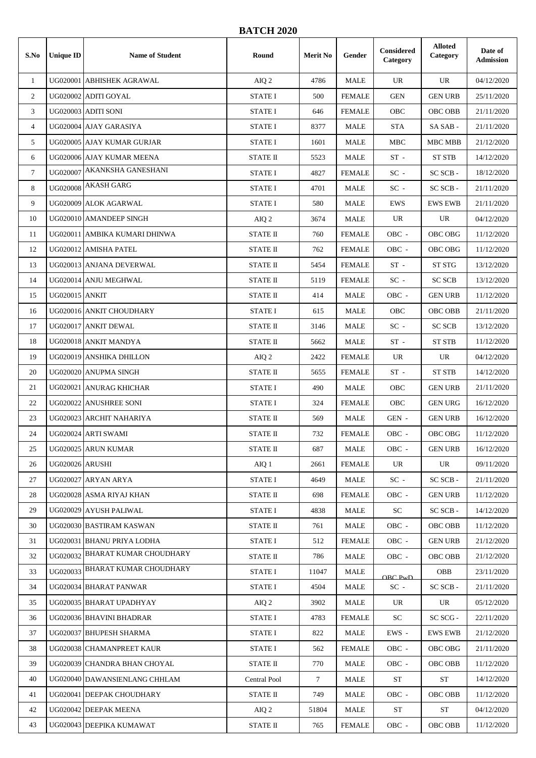## **BATCH 2020**

| S.No           | <b>Unique ID</b>       | <b>Name of Student</b>          | Round           | <b>Merit No</b> | Gender        | Considered<br>Category | <b>Alloted</b><br>Category | Date of<br><b>Admission</b> |
|----------------|------------------------|---------------------------------|-----------------|-----------------|---------------|------------------------|----------------------------|-----------------------------|
| $\mathbf{1}$   |                        | UG020001 ABHISHEK AGRAWAL       | AIQ 2           | 4786            | <b>MALE</b>   | UR                     | UR                         | 04/12/2020                  |
| 2              |                        | UG020002 ADITI GOYAL            | <b>STATE I</b>  | 500             | <b>FEMALE</b> | <b>GEN</b>             | <b>GEN URB</b>             | 25/11/2020                  |
| 3              |                        | UG020003 ADITI SONI             | <b>STATE I</b>  | 646             | <b>FEMALE</b> | OBC                    | OBC OBB                    | 21/11/2020                  |
| $\overline{4}$ |                        | UG020004 AJAY GARASIYA          | <b>STATE I</b>  | 8377            | <b>MALE</b>   | <b>STA</b>             | SA SAB -                   | 21/11/2020                  |
| 5              |                        | UG020005 AJAY KUMAR GURJAR      | <b>STATE I</b>  | 1601            | MALE          | <b>MBC</b>             | MBC MBB                    | 21/12/2020                  |
| 6              |                        | UG020006 AJAY KUMAR MEENA       | <b>STATE II</b> | 5523            | <b>MALE</b>   | $ST -$                 | <b>ST STB</b>              | 14/12/2020                  |
| $\tau$         | UG020007               | AKANKSHA GANESHANI              | <b>STATE I</b>  | 4827            | <b>FEMALE</b> | $SC -$                 | SC SCB-                    | 18/12/2020                  |
| 8              | <b>UG020008</b>        | <b>AKASH GARG</b>               | <b>STATE I</b>  | 4701            | <b>MALE</b>   | $SC -$                 | SC SCB-                    | 21/11/2020                  |
| 9              |                        | UG020009 ALOK AGARWAL           | <b>STATE I</b>  | 580             | <b>MALE</b>   | <b>EWS</b>             | <b>EWS EWB</b>             | 21/11/2020                  |
| 10             |                        | UG020010 AMANDEEP SINGH         | AIQ 2           | 3674            | <b>MALE</b>   | UR                     | UR                         | 04/12/2020                  |
| 11             |                        | UG020011 AMBIKA KUMARI DHINWA   | <b>STATE II</b> | 760             | <b>FEMALE</b> | OBC -                  | OBC OBG                    | 11/12/2020                  |
| 12             |                        | UG020012 AMISHA PATEL           | <b>STATE II</b> | 762             | <b>FEMALE</b> | OBC -                  | OBC OBG                    | 11/12/2020                  |
| 13             |                        | UG020013 ANJANA DEVERWAL        | <b>STATE II</b> | 5454            | <b>FEMALE</b> | $ST -$                 | ST STG                     | 13/12/2020                  |
| 14             |                        | UG020014 ANJU MEGHWAL           | <b>STATE II</b> | 5119            | <b>FEMALE</b> | $\rm SC$ -             | <b>SC SCB</b>              | 13/12/2020                  |
| 15             | <b>UG020015 ANKIT</b>  |                                 | <b>STATE II</b> | 414             | <b>MALE</b>   | $OBC$ -                | <b>GEN URB</b>             | 11/12/2020                  |
| 16             |                        | UG020016 ANKIT CHOUDHARY        | <b>STATE I</b>  | 615             | <b>MALE</b>   | OBC                    | <b>OBC OBB</b>             | 21/11/2020                  |
| 17             |                        | UG020017 ANKIT DEWAL            | <b>STATE II</b> | 3146            | <b>MALE</b>   | $\rm SC$ -             | <b>SC SCB</b>              | 13/12/2020                  |
| 18             |                        | UG020018 ANKIT MANDYA           | <b>STATE II</b> | 5662            | MALE          | $ST -$                 | <b>ST STB</b>              | 11/12/2020                  |
| 19             |                        | UG020019 ANSHIKA DHILLON        | AIQ 2           | 2422            | <b>FEMALE</b> | <b>UR</b>              | UR                         | 04/12/2020                  |
| 20             |                        | UG020020 ANUPMA SINGH           | <b>STATE II</b> | 5655            | <b>FEMALE</b> | $ST -$                 | <b>ST STB</b>              | 14/12/2020                  |
| 21             |                        | UG020021 ANURAG KHICHAR         | <b>STATE I</b>  | 490             | <b>MALE</b>   | OBC                    | <b>GEN URB</b>             | 21/11/2020                  |
| 22             |                        | UG020022 ANUSHREE SONI          | <b>STATE I</b>  | 324             | <b>FEMALE</b> | OBC                    | <b>GEN URG</b>             | 16/12/2020                  |
| 23             |                        | UG020023 ARCHIT NAHARIYA        | <b>STATE II</b> | 569             | <b>MALE</b>   | $GEN -$                | <b>GEN URB</b>             | 16/12/2020                  |
| 24             |                        | UG020024 ARTI SWAMI             | <b>STATE II</b> | 732             | <b>FEMALE</b> | OBC -                  | OBC OBG                    | 11/12/2020                  |
| 25             |                        | UG020025 ARUN KUMAR             | <b>STATE II</b> | 687             | <b>MALE</b>   | OBC -                  | <b>GEN URB</b>             | 16/12/2020                  |
| 26             | <b>UG020026 ARUSHI</b> |                                 | AIQ 1           | 2661            | <b>FEMALE</b> | UR.                    | UR                         | 09/11/2020                  |
| 27             |                        | UG020027 ARYAN ARYA             | <b>STATE I</b>  | 4649            | MALE          | $SC -$                 | SC SCB-                    | 21/11/2020                  |
| 28             |                        | UG020028 ASMA RIYAJ KHAN        | <b>STATE II</b> | 698             | <b>FEMALE</b> | OBC -                  | <b>GEN URB</b>             | 11/12/2020                  |
| 29             |                        | UG020029 AYUSH PALIWAL          | STATE I         | 4838            | MALE          | SC                     | SC SCB-                    | 14/12/2020                  |
| 30             |                        | UG020030 BASTIRAM KASWAN        | STATE II        | 761             | MALE          | OBC -                  | OBC OBB                    | 11/12/2020                  |
| 31             |                        | UG020031 BHANU PRIYA LODHA      | <b>STATE I</b>  | 512             | <b>FEMALE</b> | OBC -                  | GEN URB                    | 21/12/2020                  |
| 32             |                        | UG020032 BHARAT KUMAR CHOUDHARY | STATE II        | 786             | MALE          | OBC -                  | OBC OBB                    | 21/12/2020                  |
| 33             |                        | UG020033 BHARAT KUMAR CHOUDHARY | <b>STATE I</b>  | 11047           | MALE          | ORC P w D              | <b>OBB</b>                 | 23/11/2020                  |
| 34             |                        | UG020034 BHARAT PANWAR          | <b>STATE I</b>  | 4504            | MALE          | $SC -$                 | SC SCB -                   | 21/11/2020                  |
| 35             |                        | UG020035 BHARAT UPADHYAY        | AIQ 2           | 3902            | MALE          | UR                     | UR                         | 05/12/2020                  |
| 36             |                        | UG020036 BHAVINI BHADRAR        | <b>STATE I</b>  | 4783            | <b>FEMALE</b> | SC                     | SC SCG -                   | 22/11/2020                  |
| 37             |                        | UG020037 BHUPESH SHARMA         | <b>STATE I</b>  | 822             | MALE          | EWS -                  | <b>EWS EWB</b>             | 21/12/2020                  |
| 38             |                        | UG020038 CHAMANPREET KAUR       | <b>STATE I</b>  | 562             | <b>FEMALE</b> | OBC -                  | OBC OBG                    | 21/11/2020                  |
| 39             |                        | UG020039 CHANDRA BHAN CHOYAL    | <b>STATE II</b> | 770             | MALE          | OBC -                  | OBC OBB                    | 11/12/2020                  |
| 40             |                        | UG020040 DAWANSIENLANG CHHLAM   | Central Pool    | $7\overline{ }$ | MALE          | <b>ST</b>              | <b>ST</b>                  | 14/12/2020                  |
| 41             |                        | UG020041 DEEPAK CHOUDHARY       | <b>STATE II</b> | 749             | MALE          | OBC -                  | OBC OBB                    | 11/12/2020                  |
| 42             |                        | UG020042 DEEPAK MEENA           | AIQ 2           | 51804           | MALE          | <b>ST</b>              | ${\rm ST}$                 | 04/12/2020                  |
| 43             |                        | UG020043 DEEPIKA KUMAWAT        | STATE II        | 765             | <b>FEMALE</b> | OBC -                  | OBC OBB                    | 11/12/2020                  |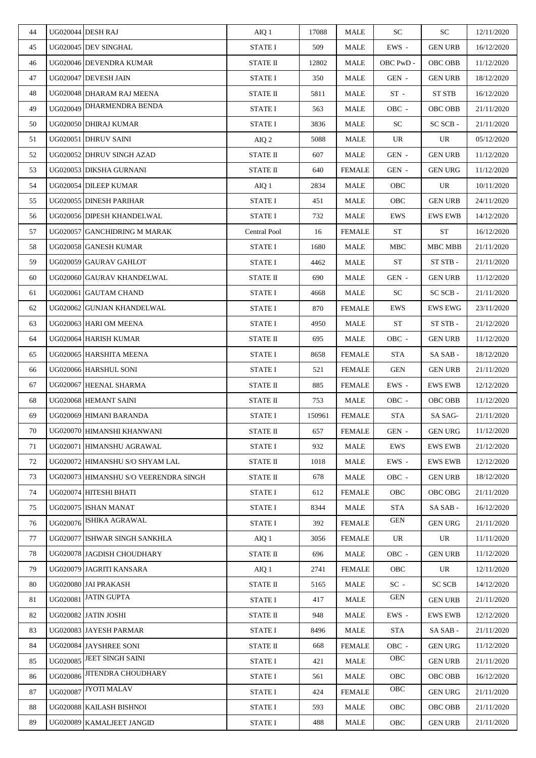| 44 |          | UG020044 DESH RAJ                     | AIQ 1                     | 17088  | <b>MALE</b>   | <b>SC</b>       | <b>SC</b>               | 12/11/2020 |
|----|----------|---------------------------------------|---------------------------|--------|---------------|-----------------|-------------------------|------------|
| 45 |          | UG020045 DEV SINGHAL                  | <b>STATE I</b>            | 509    | MALE          | EWS -           | <b>GEN URB</b>          | 16/12/2020 |
| 46 |          | UG020046 DEVENDRA KUMAR               | <b>STATE II</b>           | 12802  | MALE          | OBC PwD -       | OBC OBB                 | 11/12/2020 |
| 47 |          | UG020047 DEVESH JAIN                  | <b>STATE I</b>            | 350    | MALE          | GEN -           | <b>GEN URB</b>          | 18/12/2020 |
| 48 |          | UG020048 DHARAM RAJ MEENA             | <b>STATE II</b>           | 5811   | MALE          | $ST -$          | <b>ST STB</b>           | 16/12/2020 |
| 49 |          | UG020049 DHARMENDRA BENDA             | <b>STATE I</b>            | 563    | MALE          | OBC -           | OBC OBB                 | 21/11/2020 |
| 50 |          | UG020050 DHIRAJ KUMAR                 | <b>STATE I</b>            | 3836   | <b>MALE</b>   | SC <sub>1</sub> | SC SCB -                | 21/11/2020 |
| 51 |          | UG020051 DHRUV SAINI                  | AIQ 2                     | 5088   | MALE          | UR              | UR                      | 05/12/2020 |
| 52 |          | UG020052 DHRUV SINGH AZAD             | STATE II                  | 607    | MALE          | GEN -           | <b>GEN URB</b>          | 11/12/2020 |
| 53 |          | UG020053 DIKSHA GURNANI               | <b>STATE II</b>           | 640    | <b>FEMALE</b> | GEN -           | <b>GEN URG</b>          | 11/12/2020 |
| 54 |          | UG020054 DILEEP KUMAR                 | AIQ 1                     | 2834   | MALE          | OBC             | UR                      | 10/11/2020 |
| 55 |          | UG020055 DINESH PARIHAR               | <b>STATE I</b>            | 451    | MALE          | OBC             | <b>GEN URB</b>          | 24/11/2020 |
| 56 |          | UG020056 DIPESH KHANDELWAL            | STATE I                   | 732    | MALE          | EWS             | <b>EWS EWB</b>          | 14/12/2020 |
| 57 |          | UG020057 GANCHIDRING M MARAK          | Central Pool              | 16     | <b>FEMALE</b> | <b>ST</b>       | <b>ST</b>               | 16/12/2020 |
| 58 |          | UG020058 GANESH KUMAR                 | <b>STATE I</b>            | 1680   | MALE          | MBC             | MBC MBB                 | 21/11/2020 |
| 59 |          | UG020059 GAURAV GAHLOT                | <b>STATE I</b>            | 4462   | MALE          | <b>ST</b>       | ST STB -                | 21/11/2020 |
| 60 |          | UG020060 GAURAV KHANDELWAL            | <b>STATE II</b>           | 690    | MALE          | GEN -           | <b>GEN URB</b>          | 11/12/2020 |
| 61 |          | UG020061 GAUTAM CHAND                 | STATE I                   | 4668   | <b>MALE</b>   | SC              | SC SCB-                 | 21/11/2020 |
| 62 |          | UG020062 GUNJAN KHANDELWAL            | <b>STATE I</b>            | 870    | <b>FEMALE</b> | EWS             | <b>EWS EWG</b>          | 23/11/2020 |
| 63 |          | UG020063 HARI OM MEENA                | <b>STATE I</b>            | 4950   | MALE          | <b>ST</b>       | ${\rm ST}\ {\rm STB}$ - | 21/12/2020 |
| 64 |          | UG020064 HARISH KUMAR                 | STATE II                  | 695    | MALE          | OBC -           | <b>GEN URB</b>          | 11/12/2020 |
| 65 |          | UG020065 HARSHITA MEENA               | <b>STATE I</b>            | 8658   | <b>FEMALE</b> | <b>STA</b>      | SA SAB-                 | 18/12/2020 |
| 66 |          | UG020066 HARSHUL SONI                 | <b>STATE I</b>            | 521    | <b>FEMALE</b> | <b>GEN</b>      | <b>GEN URB</b>          | 21/11/2020 |
| 67 |          | UG020067 HEENAL SHARMA                | $\operatorname{STATE}$ II | 885    | <b>FEMALE</b> | EWS -           | <b>EWS EWB</b>          | 12/12/2020 |
| 68 |          | UG020068 HEMANT SAINI                 | <b>STATE II</b>           | 753    | MALE          | OBC -           | <b>OBC OBB</b>          | 11/12/2020 |
| 69 |          | UG020069 HIMANI BARANDA               | <b>STATE I</b>            | 150961 | <b>FEMALE</b> | <b>STA</b>      | SA SAG-                 | 21/11/2020 |
| 70 |          | UG020070 HIMANSHI KHANWANI            | <b>STATE II</b>           | 657    | <b>FEMALE</b> | GEN -           | <b>GEN URG</b>          | 11/12/2020 |
| 71 |          | UG020071 HIMANSHU AGRAWAL             | <b>STATE I</b>            | 932    | MALE          | EWS             | <b>EWS EWB</b>          | 21/12/2020 |
| 72 |          | UG020072 HIMANSHU S/O SHYAM LAL       | <b>STATE II</b>           | 1018   | MALE          | $EWS -$         | <b>EWS EWB</b>          | 12/12/2020 |
| 73 |          | UG020073 HIMANSHU S/O VEERENDRA SINGH | <b>STATE II</b>           | 678    | MALE          | OBC -           | <b>GEN URB</b>          | 18/12/2020 |
| 74 |          | UG020074 HITESHI BHATI                | <b>STATE I</b>            | 612    | <b>FEMALE</b> | <b>OBC</b>      | OBC OBG                 | 21/11/2020 |
| 75 |          | UG020075 ISHAN MANAT                  | <b>STATE I</b>            | 8344   | MALE          | <b>STA</b>      | SASAB-                  | 16/12/2020 |
| 76 |          | UG020076 ISHIKA AGRAWAL               | STATE I                   | 392    | <b>FEMALE</b> | GEN             | <b>GEN URG</b>          | 21/11/2020 |
| 77 |          | UG020077 ISHWAR SINGH SANKHLA         | AIQ 1                     | 3056   | <b>FEMALE</b> | UR              | UR                      | 11/11/2020 |
| 78 |          | UG020078 JAGDISH CHOUDHARY            | <b>STATE II</b>           | 696    | MALE          | OBC -           | <b>GEN URB</b>          | 11/12/2020 |
| 79 |          | UG020079 JAGRITI KANSARA              | AIQ 1                     | 2741   | <b>FEMALE</b> | <b>OBC</b>      | UR                      | 12/11/2020 |
| 80 |          | UG020080 JAI PRAKASH                  | <b>STATE II</b>           | 5165   | MALE          | $SC -$          | <b>SC SCB</b>           | 14/12/2020 |
| 81 | UG020081 | <b>JATIN GUPTA</b>                    | <b>STATE I</b>            | 417    | MALE          | <b>GEN</b>      | <b>GEN URB</b>          | 21/11/2020 |
| 82 |          | UG020082 JATIN JOSHI                  | <b>STATE II</b>           | 948    | MALE          | EWS -           | <b>EWS EWB</b>          | 12/12/2020 |
| 83 |          | UG020083 JAYESH PARMAR                | <b>STATE I</b>            | 8496   | MALE          | STA             | SASAB-                  | 21/11/2020 |
| 84 |          | UG020084 JAYSHREE SONI                | <b>STATE II</b>           | 668    | <b>FEMALE</b> | OBC -           | <b>GEN URG</b>          | 11/12/2020 |
| 85 |          | UG020085 JEET SINGH SAINI             | STATE I                   | 421    | MALE          | <b>OBC</b>      | <b>GEN URB</b>          | 21/11/2020 |
| 86 |          | UG020086 JITENDRA CHOUDHARY           | <b>STATE I</b>            | 561    | MALE          | OBC             | OBC OBB                 | 16/12/2020 |
| 87 | UG020087 | <b>JYOTI MALAV</b>                    | <b>STATE I</b>            | 424    | <b>FEMALE</b> | <b>OBC</b>      | <b>GEN URG</b>          | 21/11/2020 |
| 88 |          | UG020088 KAILASH BISHNOI              | <b>STATE I</b>            | 593    | MALE          | <b>OBC</b>      | OBC OBB                 | 21/11/2020 |
| 89 |          | UG020089 KAMALJEET JANGID             | <b>STATE I</b>            | 488    | MALE          | OBC             | <b>GEN URB</b>          | 21/11/2020 |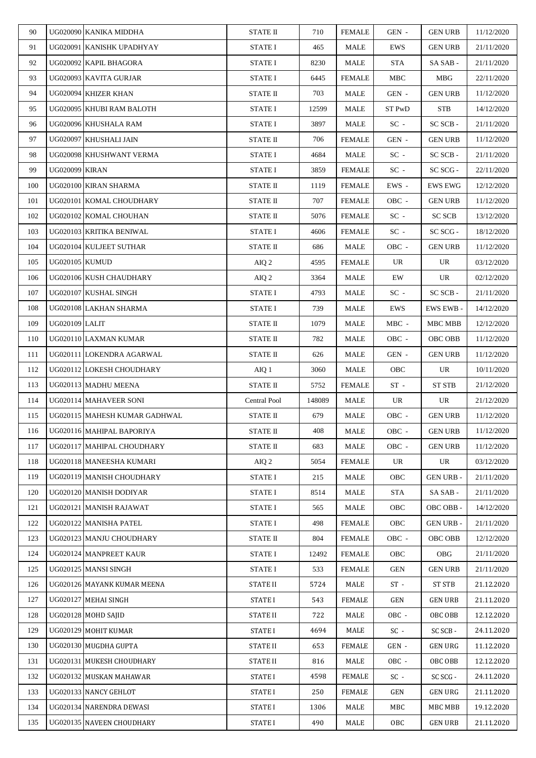| 91<br>UG020091 KANISHK UPADHYAY<br><b>STATE I</b><br>465<br>MALE<br>EWS<br><b>GEN URB</b><br>21/11/2020<br>92<br>UG020092 KAPIL BHAGORA<br><b>STATE I</b><br><b>STA</b><br>21/11/2020<br>8230<br>MALE<br>SA SAB -<br>93<br>UG020093 KAVITA GURJAR<br><b>STATE I</b><br>6445<br><b>FEMALE</b><br>MBC<br>MBG<br>22/11/2020<br>94<br>UG020094 KHIZER KHAN<br><b>STATE II</b><br>703<br>MALE<br>11/12/2020<br>GEN -<br><b>GEN URB</b><br>95<br>UG020095 KHUBI RAM BALOTH<br><b>STATE I</b><br>12599<br><b>MALE</b><br>ST PwD<br><b>STB</b><br>14/12/2020<br>96<br>UG020096 KHUSHALA RAM<br>3897<br>MALE<br>$SC -$<br>SC SCB-<br>21/11/2020<br><b>STATE I</b><br>97<br>UG020097 KHUSHALI JAIN<br>STATE II<br>706<br><b>FEMALE</b><br>GEN -<br><b>GEN URB</b><br>11/12/2020<br>98<br>UG020098 KHUSHWANT VERMA<br>4684<br>MALE<br>$SC -$<br>SC SCB-<br><b>STATE I</b><br>21/11/2020<br>99<br><b>UG020099 KIRAN</b><br>STATE I<br>3859<br>FEMALE<br>$SC -$<br>SC SCG -<br>22/11/2020<br>UG020100 KIRAN SHARMA<br>STATE II<br><b>FEMALE</b><br>EWS -<br>EWS EWG<br>100<br>1119<br>12/12/2020<br>101<br>UG020101 KOMAL CHOUDHARY<br><b>STATE II</b><br>707<br><b>FEMALE</b><br>OBC -<br><b>GEN URB</b><br>11/12/2020<br>UG020102 KOMAL CHOUHAN<br>$SC -$<br><b>SC SCB</b><br>102<br><b>STATE II</b><br>5076<br><b>FEMALE</b><br>13/12/2020<br>UG020103 KRITIKA BENIWAL<br>$SC -$<br>SC SCG -<br>103<br><b>STATE I</b><br>4606<br><b>FEMALE</b><br>18/12/2020<br>UG020104 KULJEET SUTHAR<br><b>STATE II</b><br>104<br>MALE<br>OBC -<br><b>GEN URB</b><br>11/12/2020<br>686<br>105<br><b>UG020105 KUMUD</b><br>UR<br>UR<br>03/12/2020<br>AIQ 2<br>4595<br>FEMALE<br>106<br>UG020106 KUSH CHAUDHARY<br>AIQ 2<br>3364<br>MALE<br>EW<br>UR<br>02/12/2020<br>107<br>UG020107 KUSHAL SINGH<br>$SC -$<br>SC SCB-<br>21/11/2020<br><b>STATE I</b><br>4793<br>MALE<br>108<br>UG020108 LAKHAN SHARMA<br><b>STATE I</b><br>739<br><b>MALE</b><br>EWS<br>EWS EWB -<br>14/12/2020<br>109<br>UG020109 LALIT<br>12/12/2020<br>STATE II<br>1079<br>MALE<br>$MBC -$<br>MBC MBB<br>UG020110 LAXMAN KUMAR<br>110<br>STATE II<br>782<br>MALE<br>OBC -<br>OBC OBB<br>11/12/2020<br>UG020111 LOKENDRA AGARWAL<br>111<br><b>STATE II</b><br>626<br>MALE<br>GEN -<br><b>GEN URB</b><br>11/12/2020<br>UG020112 LOKESH CHOUDHARY<br>112<br>AIQ 1<br>3060<br>MALE<br><b>OBC</b><br>UR<br>10/11/2020<br>UG020113 MADHU MEENA<br>113<br>STATE II<br>5752<br><b>FEMALE</b><br>$ST -$<br><b>ST STB</b><br>21/12/2020<br>UG020114 MAHAVEER SONI<br>114<br>Central Pool<br>148089<br>MALE<br>UR<br>UR<br>21/12/2020<br>UG020115 MAHESH KUMAR GADHWAL<br><b>STATE II</b><br>679<br>115<br>MALE<br>OBC -<br><b>GEN URB</b><br>11/12/2020<br>116<br>UG020116 MAHIPAL BAPORIYA<br><b>STATE II</b><br>408<br><b>MALE</b><br>OBC -<br><b>GEN URB</b><br>11/12/2020<br>UG020117 MAHIPAL CHOUDHARY<br>117<br>STATE II<br>683<br><b>MALE</b><br>OBC -<br><b>GEN URB</b><br>11/12/2020<br>UG020118 MANEESHA KUMARI<br>118<br>UR<br>UR<br>AIQ 2<br>5054<br><b>FEMALE</b><br>03/12/2020<br>119<br>UG020119 MANISH CHOUDHARY<br><b>STATE I</b><br>MALE<br>OBC<br><b>GEN URB -</b><br>215<br>21/11/2020<br>120<br>UG020120 MANISH DODIYAR<br><b>STATE I</b><br>MALE<br><b>STA</b><br>SASAB-<br>21/11/2020<br>8514<br>UG020121 MANISH RAJAWAT<br>OBC OBB-<br>121<br>STATE I<br>565<br>MALE<br><b>OBC</b><br>14/12/2020<br>122<br>UG020122 MANISHA PATEL<br>498<br>OBC<br><b>GEN URB -</b><br><b>STATE I</b><br><b>FEMALE</b><br>21/11/2020<br>UG020123 MANJU CHOUDHARY<br>123<br>STATE II<br>804<br><b>FEMALE</b><br>OBC -<br>OBC OBB<br>12/12/2020<br>UG020124 MANPREET KAUR<br>124<br><b>STATE I</b><br><b>FEMALE</b><br><b>OBG</b><br>21/11/2020<br>12492<br><b>OBC</b><br>UG020125 MANSI SINGH<br><b>STATE I</b><br>533<br><b>FEMALE</b><br><b>GEN URB</b><br>125<br>GEN<br>21/11/2020<br>126<br>UG020126 MAYANK KUMAR MEENA<br><b>STATE II</b><br>$ST -$<br><b>ST STB</b><br>21.12.2020<br>5724<br>MALE<br>127<br>UG020127 MEHAI SINGH<br><b>STATE I</b><br>543<br><b>FEMALE</b><br>GEN<br><b>GEN URB</b><br>21.11.2020<br>UG020128 MOHD SAIID<br>722<br>12.12.2020<br>128<br><b>STATE II</b><br>OBC -<br>OBC OBB<br>MALE<br>UG020129 MOHIT KUMAR<br>$SC -$<br>SC SCB-<br>24.11.2020<br>129<br>STATE I<br>4694<br>MALE<br>UG020130 MUGDHA GUPTA<br>653<br>11.12.2020<br>130<br><b>STATE II</b><br><b>FEMALE</b><br>GEN -<br><b>GEN URG</b><br>UG020131 MUKESH CHOUDHARY<br>131<br><b>STATE II</b><br>OBC -<br>OBC OBB<br>12.12.2020<br>816<br>MALE<br>132<br><b>FEMALE</b><br>24.11.2020<br>UG020132 MUSKAN MAHAWAR<br><b>STATE I</b><br>4598<br>$SC -$<br>SC SCG -<br>133<br>UG020133 NANCY GEHLOT<br><b>STATE I</b><br>250<br><b>FEMALE</b><br>GEN<br><b>GEN URG</b><br>21.11.2020<br>UG020134 NARENDRA DEWASI<br>134<br>MBC MBB<br>19.12.2020<br>STATE I<br>1306<br>MALE<br>MBC<br>135<br>UG020135 NAVEEN CHOUDHARY<br><b>STATE I</b><br>490<br>OBC<br><b>GEN URB</b><br>21.11.2020<br>MALE | 90 | UG020090 KANIKA MIDDHA | <b>STATE II</b> | 710 | FEMALE | GEN - | <b>GEN URB</b> | 11/12/2020 |
|------------------------------------------------------------------------------------------------------------------------------------------------------------------------------------------------------------------------------------------------------------------------------------------------------------------------------------------------------------------------------------------------------------------------------------------------------------------------------------------------------------------------------------------------------------------------------------------------------------------------------------------------------------------------------------------------------------------------------------------------------------------------------------------------------------------------------------------------------------------------------------------------------------------------------------------------------------------------------------------------------------------------------------------------------------------------------------------------------------------------------------------------------------------------------------------------------------------------------------------------------------------------------------------------------------------------------------------------------------------------------------------------------------------------------------------------------------------------------------------------------------------------------------------------------------------------------------------------------------------------------------------------------------------------------------------------------------------------------------------------------------------------------------------------------------------------------------------------------------------------------------------------------------------------------------------------------------------------------------------------------------------------------------------------------------------------------------------------------------------------------------------------------------------------------------------------------------------------------------------------------------------------------------------------------------------------------------------------------------------------------------------------------------------------------------------------------------------------------------------------------------------------------------------------------------------------------------------------------------------------------------------------------------------------------------------------------------------------------------------------------------------------------------------------------------------------------------------------------------------------------------------------------------------------------------------------------------------------------------------------------------------------------------------------------------------------------------------------------------------------------------------------------------------------------------------------------------------------------------------------------------------------------------------------------------------------------------------------------------------------------------------------------------------------------------------------------------------------------------------------------------------------------------------------------------------------------------------------------------------------------------------------------------------------------------------------------------------------------------------------------------------------------------------------------------------------------------------------------------------------------------------------------------------------------------------------------------------------------------------------------------------------------------------------------------------------------------------------------------------------------------------------------------------------------------------------------------------------------------------------------------------------------------------------------------------------------------------------------------------------------------------------------------------------------------------------------------------------------------------------------------------------------------------------------------------------------------------------------------------------------------------------------------------------------------------------------------------------------------------------------------------------------------------------------------------------------------------------------------------------------------------------------------------------------------------|----|------------------------|-----------------|-----|--------|-------|----------------|------------|
|                                                                                                                                                                                                                                                                                                                                                                                                                                                                                                                                                                                                                                                                                                                                                                                                                                                                                                                                                                                                                                                                                                                                                                                                                                                                                                                                                                                                                                                                                                                                                                                                                                                                                                                                                                                                                                                                                                                                                                                                                                                                                                                                                                                                                                                                                                                                                                                                                                                                                                                                                                                                                                                                                                                                                                                                                                                                                                                                                                                                                                                                                                                                                                                                                                                                                                                                                                                                                                                                                                                                                                                                                                                                                                                                                                                                                                                                                                                                                                                                                                                                                                                                                                                                                                                                                                                                                                                                                                                                                                                                                                                                                                                                                                                                                                                                                                                                                                                                          |    |                        |                 |     |        |       |                |            |
|                                                                                                                                                                                                                                                                                                                                                                                                                                                                                                                                                                                                                                                                                                                                                                                                                                                                                                                                                                                                                                                                                                                                                                                                                                                                                                                                                                                                                                                                                                                                                                                                                                                                                                                                                                                                                                                                                                                                                                                                                                                                                                                                                                                                                                                                                                                                                                                                                                                                                                                                                                                                                                                                                                                                                                                                                                                                                                                                                                                                                                                                                                                                                                                                                                                                                                                                                                                                                                                                                                                                                                                                                                                                                                                                                                                                                                                                                                                                                                                                                                                                                                                                                                                                                                                                                                                                                                                                                                                                                                                                                                                                                                                                                                                                                                                                                                                                                                                                          |    |                        |                 |     |        |       |                |            |
|                                                                                                                                                                                                                                                                                                                                                                                                                                                                                                                                                                                                                                                                                                                                                                                                                                                                                                                                                                                                                                                                                                                                                                                                                                                                                                                                                                                                                                                                                                                                                                                                                                                                                                                                                                                                                                                                                                                                                                                                                                                                                                                                                                                                                                                                                                                                                                                                                                                                                                                                                                                                                                                                                                                                                                                                                                                                                                                                                                                                                                                                                                                                                                                                                                                                                                                                                                                                                                                                                                                                                                                                                                                                                                                                                                                                                                                                                                                                                                                                                                                                                                                                                                                                                                                                                                                                                                                                                                                                                                                                                                                                                                                                                                                                                                                                                                                                                                                                          |    |                        |                 |     |        |       |                |            |
|                                                                                                                                                                                                                                                                                                                                                                                                                                                                                                                                                                                                                                                                                                                                                                                                                                                                                                                                                                                                                                                                                                                                                                                                                                                                                                                                                                                                                                                                                                                                                                                                                                                                                                                                                                                                                                                                                                                                                                                                                                                                                                                                                                                                                                                                                                                                                                                                                                                                                                                                                                                                                                                                                                                                                                                                                                                                                                                                                                                                                                                                                                                                                                                                                                                                                                                                                                                                                                                                                                                                                                                                                                                                                                                                                                                                                                                                                                                                                                                                                                                                                                                                                                                                                                                                                                                                                                                                                                                                                                                                                                                                                                                                                                                                                                                                                                                                                                                                          |    |                        |                 |     |        |       |                |            |
|                                                                                                                                                                                                                                                                                                                                                                                                                                                                                                                                                                                                                                                                                                                                                                                                                                                                                                                                                                                                                                                                                                                                                                                                                                                                                                                                                                                                                                                                                                                                                                                                                                                                                                                                                                                                                                                                                                                                                                                                                                                                                                                                                                                                                                                                                                                                                                                                                                                                                                                                                                                                                                                                                                                                                                                                                                                                                                                                                                                                                                                                                                                                                                                                                                                                                                                                                                                                                                                                                                                                                                                                                                                                                                                                                                                                                                                                                                                                                                                                                                                                                                                                                                                                                                                                                                                                                                                                                                                                                                                                                                                                                                                                                                                                                                                                                                                                                                                                          |    |                        |                 |     |        |       |                |            |
|                                                                                                                                                                                                                                                                                                                                                                                                                                                                                                                                                                                                                                                                                                                                                                                                                                                                                                                                                                                                                                                                                                                                                                                                                                                                                                                                                                                                                                                                                                                                                                                                                                                                                                                                                                                                                                                                                                                                                                                                                                                                                                                                                                                                                                                                                                                                                                                                                                                                                                                                                                                                                                                                                                                                                                                                                                                                                                                                                                                                                                                                                                                                                                                                                                                                                                                                                                                                                                                                                                                                                                                                                                                                                                                                                                                                                                                                                                                                                                                                                                                                                                                                                                                                                                                                                                                                                                                                                                                                                                                                                                                                                                                                                                                                                                                                                                                                                                                                          |    |                        |                 |     |        |       |                |            |
|                                                                                                                                                                                                                                                                                                                                                                                                                                                                                                                                                                                                                                                                                                                                                                                                                                                                                                                                                                                                                                                                                                                                                                                                                                                                                                                                                                                                                                                                                                                                                                                                                                                                                                                                                                                                                                                                                                                                                                                                                                                                                                                                                                                                                                                                                                                                                                                                                                                                                                                                                                                                                                                                                                                                                                                                                                                                                                                                                                                                                                                                                                                                                                                                                                                                                                                                                                                                                                                                                                                                                                                                                                                                                                                                                                                                                                                                                                                                                                                                                                                                                                                                                                                                                                                                                                                                                                                                                                                                                                                                                                                                                                                                                                                                                                                                                                                                                                                                          |    |                        |                 |     |        |       |                |            |
|                                                                                                                                                                                                                                                                                                                                                                                                                                                                                                                                                                                                                                                                                                                                                                                                                                                                                                                                                                                                                                                                                                                                                                                                                                                                                                                                                                                                                                                                                                                                                                                                                                                                                                                                                                                                                                                                                                                                                                                                                                                                                                                                                                                                                                                                                                                                                                                                                                                                                                                                                                                                                                                                                                                                                                                                                                                                                                                                                                                                                                                                                                                                                                                                                                                                                                                                                                                                                                                                                                                                                                                                                                                                                                                                                                                                                                                                                                                                                                                                                                                                                                                                                                                                                                                                                                                                                                                                                                                                                                                                                                                                                                                                                                                                                                                                                                                                                                                                          |    |                        |                 |     |        |       |                |            |
|                                                                                                                                                                                                                                                                                                                                                                                                                                                                                                                                                                                                                                                                                                                                                                                                                                                                                                                                                                                                                                                                                                                                                                                                                                                                                                                                                                                                                                                                                                                                                                                                                                                                                                                                                                                                                                                                                                                                                                                                                                                                                                                                                                                                                                                                                                                                                                                                                                                                                                                                                                                                                                                                                                                                                                                                                                                                                                                                                                                                                                                                                                                                                                                                                                                                                                                                                                                                                                                                                                                                                                                                                                                                                                                                                                                                                                                                                                                                                                                                                                                                                                                                                                                                                                                                                                                                                                                                                                                                                                                                                                                                                                                                                                                                                                                                                                                                                                                                          |    |                        |                 |     |        |       |                |            |
|                                                                                                                                                                                                                                                                                                                                                                                                                                                                                                                                                                                                                                                                                                                                                                                                                                                                                                                                                                                                                                                                                                                                                                                                                                                                                                                                                                                                                                                                                                                                                                                                                                                                                                                                                                                                                                                                                                                                                                                                                                                                                                                                                                                                                                                                                                                                                                                                                                                                                                                                                                                                                                                                                                                                                                                                                                                                                                                                                                                                                                                                                                                                                                                                                                                                                                                                                                                                                                                                                                                                                                                                                                                                                                                                                                                                                                                                                                                                                                                                                                                                                                                                                                                                                                                                                                                                                                                                                                                                                                                                                                                                                                                                                                                                                                                                                                                                                                                                          |    |                        |                 |     |        |       |                |            |
|                                                                                                                                                                                                                                                                                                                                                                                                                                                                                                                                                                                                                                                                                                                                                                                                                                                                                                                                                                                                                                                                                                                                                                                                                                                                                                                                                                                                                                                                                                                                                                                                                                                                                                                                                                                                                                                                                                                                                                                                                                                                                                                                                                                                                                                                                                                                                                                                                                                                                                                                                                                                                                                                                                                                                                                                                                                                                                                                                                                                                                                                                                                                                                                                                                                                                                                                                                                                                                                                                                                                                                                                                                                                                                                                                                                                                                                                                                                                                                                                                                                                                                                                                                                                                                                                                                                                                                                                                                                                                                                                                                                                                                                                                                                                                                                                                                                                                                                                          |    |                        |                 |     |        |       |                |            |
|                                                                                                                                                                                                                                                                                                                                                                                                                                                                                                                                                                                                                                                                                                                                                                                                                                                                                                                                                                                                                                                                                                                                                                                                                                                                                                                                                                                                                                                                                                                                                                                                                                                                                                                                                                                                                                                                                                                                                                                                                                                                                                                                                                                                                                                                                                                                                                                                                                                                                                                                                                                                                                                                                                                                                                                                                                                                                                                                                                                                                                                                                                                                                                                                                                                                                                                                                                                                                                                                                                                                                                                                                                                                                                                                                                                                                                                                                                                                                                                                                                                                                                                                                                                                                                                                                                                                                                                                                                                                                                                                                                                                                                                                                                                                                                                                                                                                                                                                          |    |                        |                 |     |        |       |                |            |
|                                                                                                                                                                                                                                                                                                                                                                                                                                                                                                                                                                                                                                                                                                                                                                                                                                                                                                                                                                                                                                                                                                                                                                                                                                                                                                                                                                                                                                                                                                                                                                                                                                                                                                                                                                                                                                                                                                                                                                                                                                                                                                                                                                                                                                                                                                                                                                                                                                                                                                                                                                                                                                                                                                                                                                                                                                                                                                                                                                                                                                                                                                                                                                                                                                                                                                                                                                                                                                                                                                                                                                                                                                                                                                                                                                                                                                                                                                                                                                                                                                                                                                                                                                                                                                                                                                                                                                                                                                                                                                                                                                                                                                                                                                                                                                                                                                                                                                                                          |    |                        |                 |     |        |       |                |            |
|                                                                                                                                                                                                                                                                                                                                                                                                                                                                                                                                                                                                                                                                                                                                                                                                                                                                                                                                                                                                                                                                                                                                                                                                                                                                                                                                                                                                                                                                                                                                                                                                                                                                                                                                                                                                                                                                                                                                                                                                                                                                                                                                                                                                                                                                                                                                                                                                                                                                                                                                                                                                                                                                                                                                                                                                                                                                                                                                                                                                                                                                                                                                                                                                                                                                                                                                                                                                                                                                                                                                                                                                                                                                                                                                                                                                                                                                                                                                                                                                                                                                                                                                                                                                                                                                                                                                                                                                                                                                                                                                                                                                                                                                                                                                                                                                                                                                                                                                          |    |                        |                 |     |        |       |                |            |
|                                                                                                                                                                                                                                                                                                                                                                                                                                                                                                                                                                                                                                                                                                                                                                                                                                                                                                                                                                                                                                                                                                                                                                                                                                                                                                                                                                                                                                                                                                                                                                                                                                                                                                                                                                                                                                                                                                                                                                                                                                                                                                                                                                                                                                                                                                                                                                                                                                                                                                                                                                                                                                                                                                                                                                                                                                                                                                                                                                                                                                                                                                                                                                                                                                                                                                                                                                                                                                                                                                                                                                                                                                                                                                                                                                                                                                                                                                                                                                                                                                                                                                                                                                                                                                                                                                                                                                                                                                                                                                                                                                                                                                                                                                                                                                                                                                                                                                                                          |    |                        |                 |     |        |       |                |            |
|                                                                                                                                                                                                                                                                                                                                                                                                                                                                                                                                                                                                                                                                                                                                                                                                                                                                                                                                                                                                                                                                                                                                                                                                                                                                                                                                                                                                                                                                                                                                                                                                                                                                                                                                                                                                                                                                                                                                                                                                                                                                                                                                                                                                                                                                                                                                                                                                                                                                                                                                                                                                                                                                                                                                                                                                                                                                                                                                                                                                                                                                                                                                                                                                                                                                                                                                                                                                                                                                                                                                                                                                                                                                                                                                                                                                                                                                                                                                                                                                                                                                                                                                                                                                                                                                                                                                                                                                                                                                                                                                                                                                                                                                                                                                                                                                                                                                                                                                          |    |                        |                 |     |        |       |                |            |
|                                                                                                                                                                                                                                                                                                                                                                                                                                                                                                                                                                                                                                                                                                                                                                                                                                                                                                                                                                                                                                                                                                                                                                                                                                                                                                                                                                                                                                                                                                                                                                                                                                                                                                                                                                                                                                                                                                                                                                                                                                                                                                                                                                                                                                                                                                                                                                                                                                                                                                                                                                                                                                                                                                                                                                                                                                                                                                                                                                                                                                                                                                                                                                                                                                                                                                                                                                                                                                                                                                                                                                                                                                                                                                                                                                                                                                                                                                                                                                                                                                                                                                                                                                                                                                                                                                                                                                                                                                                                                                                                                                                                                                                                                                                                                                                                                                                                                                                                          |    |                        |                 |     |        |       |                |            |
|                                                                                                                                                                                                                                                                                                                                                                                                                                                                                                                                                                                                                                                                                                                                                                                                                                                                                                                                                                                                                                                                                                                                                                                                                                                                                                                                                                                                                                                                                                                                                                                                                                                                                                                                                                                                                                                                                                                                                                                                                                                                                                                                                                                                                                                                                                                                                                                                                                                                                                                                                                                                                                                                                                                                                                                                                                                                                                                                                                                                                                                                                                                                                                                                                                                                                                                                                                                                                                                                                                                                                                                                                                                                                                                                                                                                                                                                                                                                                                                                                                                                                                                                                                                                                                                                                                                                                                                                                                                                                                                                                                                                                                                                                                                                                                                                                                                                                                                                          |    |                        |                 |     |        |       |                |            |
|                                                                                                                                                                                                                                                                                                                                                                                                                                                                                                                                                                                                                                                                                                                                                                                                                                                                                                                                                                                                                                                                                                                                                                                                                                                                                                                                                                                                                                                                                                                                                                                                                                                                                                                                                                                                                                                                                                                                                                                                                                                                                                                                                                                                                                                                                                                                                                                                                                                                                                                                                                                                                                                                                                                                                                                                                                                                                                                                                                                                                                                                                                                                                                                                                                                                                                                                                                                                                                                                                                                                                                                                                                                                                                                                                                                                                                                                                                                                                                                                                                                                                                                                                                                                                                                                                                                                                                                                                                                                                                                                                                                                                                                                                                                                                                                                                                                                                                                                          |    |                        |                 |     |        |       |                |            |
|                                                                                                                                                                                                                                                                                                                                                                                                                                                                                                                                                                                                                                                                                                                                                                                                                                                                                                                                                                                                                                                                                                                                                                                                                                                                                                                                                                                                                                                                                                                                                                                                                                                                                                                                                                                                                                                                                                                                                                                                                                                                                                                                                                                                                                                                                                                                                                                                                                                                                                                                                                                                                                                                                                                                                                                                                                                                                                                                                                                                                                                                                                                                                                                                                                                                                                                                                                                                                                                                                                                                                                                                                                                                                                                                                                                                                                                                                                                                                                                                                                                                                                                                                                                                                                                                                                                                                                                                                                                                                                                                                                                                                                                                                                                                                                                                                                                                                                                                          |    |                        |                 |     |        |       |                |            |
|                                                                                                                                                                                                                                                                                                                                                                                                                                                                                                                                                                                                                                                                                                                                                                                                                                                                                                                                                                                                                                                                                                                                                                                                                                                                                                                                                                                                                                                                                                                                                                                                                                                                                                                                                                                                                                                                                                                                                                                                                                                                                                                                                                                                                                                                                                                                                                                                                                                                                                                                                                                                                                                                                                                                                                                                                                                                                                                                                                                                                                                                                                                                                                                                                                                                                                                                                                                                                                                                                                                                                                                                                                                                                                                                                                                                                                                                                                                                                                                                                                                                                                                                                                                                                                                                                                                                                                                                                                                                                                                                                                                                                                                                                                                                                                                                                                                                                                                                          |    |                        |                 |     |        |       |                |            |
|                                                                                                                                                                                                                                                                                                                                                                                                                                                                                                                                                                                                                                                                                                                                                                                                                                                                                                                                                                                                                                                                                                                                                                                                                                                                                                                                                                                                                                                                                                                                                                                                                                                                                                                                                                                                                                                                                                                                                                                                                                                                                                                                                                                                                                                                                                                                                                                                                                                                                                                                                                                                                                                                                                                                                                                                                                                                                                                                                                                                                                                                                                                                                                                                                                                                                                                                                                                                                                                                                                                                                                                                                                                                                                                                                                                                                                                                                                                                                                                                                                                                                                                                                                                                                                                                                                                                                                                                                                                                                                                                                                                                                                                                                                                                                                                                                                                                                                                                          |    |                        |                 |     |        |       |                |            |
|                                                                                                                                                                                                                                                                                                                                                                                                                                                                                                                                                                                                                                                                                                                                                                                                                                                                                                                                                                                                                                                                                                                                                                                                                                                                                                                                                                                                                                                                                                                                                                                                                                                                                                                                                                                                                                                                                                                                                                                                                                                                                                                                                                                                                                                                                                                                                                                                                                                                                                                                                                                                                                                                                                                                                                                                                                                                                                                                                                                                                                                                                                                                                                                                                                                                                                                                                                                                                                                                                                                                                                                                                                                                                                                                                                                                                                                                                                                                                                                                                                                                                                                                                                                                                                                                                                                                                                                                                                                                                                                                                                                                                                                                                                                                                                                                                                                                                                                                          |    |                        |                 |     |        |       |                |            |
|                                                                                                                                                                                                                                                                                                                                                                                                                                                                                                                                                                                                                                                                                                                                                                                                                                                                                                                                                                                                                                                                                                                                                                                                                                                                                                                                                                                                                                                                                                                                                                                                                                                                                                                                                                                                                                                                                                                                                                                                                                                                                                                                                                                                                                                                                                                                                                                                                                                                                                                                                                                                                                                                                                                                                                                                                                                                                                                                                                                                                                                                                                                                                                                                                                                                                                                                                                                                                                                                                                                                                                                                                                                                                                                                                                                                                                                                                                                                                                                                                                                                                                                                                                                                                                                                                                                                                                                                                                                                                                                                                                                                                                                                                                                                                                                                                                                                                                                                          |    |                        |                 |     |        |       |                |            |
|                                                                                                                                                                                                                                                                                                                                                                                                                                                                                                                                                                                                                                                                                                                                                                                                                                                                                                                                                                                                                                                                                                                                                                                                                                                                                                                                                                                                                                                                                                                                                                                                                                                                                                                                                                                                                                                                                                                                                                                                                                                                                                                                                                                                                                                                                                                                                                                                                                                                                                                                                                                                                                                                                                                                                                                                                                                                                                                                                                                                                                                                                                                                                                                                                                                                                                                                                                                                                                                                                                                                                                                                                                                                                                                                                                                                                                                                                                                                                                                                                                                                                                                                                                                                                                                                                                                                                                                                                                                                                                                                                                                                                                                                                                                                                                                                                                                                                                                                          |    |                        |                 |     |        |       |                |            |
|                                                                                                                                                                                                                                                                                                                                                                                                                                                                                                                                                                                                                                                                                                                                                                                                                                                                                                                                                                                                                                                                                                                                                                                                                                                                                                                                                                                                                                                                                                                                                                                                                                                                                                                                                                                                                                                                                                                                                                                                                                                                                                                                                                                                                                                                                                                                                                                                                                                                                                                                                                                                                                                                                                                                                                                                                                                                                                                                                                                                                                                                                                                                                                                                                                                                                                                                                                                                                                                                                                                                                                                                                                                                                                                                                                                                                                                                                                                                                                                                                                                                                                                                                                                                                                                                                                                                                                                                                                                                                                                                                                                                                                                                                                                                                                                                                                                                                                                                          |    |                        |                 |     |        |       |                |            |
|                                                                                                                                                                                                                                                                                                                                                                                                                                                                                                                                                                                                                                                                                                                                                                                                                                                                                                                                                                                                                                                                                                                                                                                                                                                                                                                                                                                                                                                                                                                                                                                                                                                                                                                                                                                                                                                                                                                                                                                                                                                                                                                                                                                                                                                                                                                                                                                                                                                                                                                                                                                                                                                                                                                                                                                                                                                                                                                                                                                                                                                                                                                                                                                                                                                                                                                                                                                                                                                                                                                                                                                                                                                                                                                                                                                                                                                                                                                                                                                                                                                                                                                                                                                                                                                                                                                                                                                                                                                                                                                                                                                                                                                                                                                                                                                                                                                                                                                                          |    |                        |                 |     |        |       |                |            |
|                                                                                                                                                                                                                                                                                                                                                                                                                                                                                                                                                                                                                                                                                                                                                                                                                                                                                                                                                                                                                                                                                                                                                                                                                                                                                                                                                                                                                                                                                                                                                                                                                                                                                                                                                                                                                                                                                                                                                                                                                                                                                                                                                                                                                                                                                                                                                                                                                                                                                                                                                                                                                                                                                                                                                                                                                                                                                                                                                                                                                                                                                                                                                                                                                                                                                                                                                                                                                                                                                                                                                                                                                                                                                                                                                                                                                                                                                                                                                                                                                                                                                                                                                                                                                                                                                                                                                                                                                                                                                                                                                                                                                                                                                                                                                                                                                                                                                                                                          |    |                        |                 |     |        |       |                |            |
|                                                                                                                                                                                                                                                                                                                                                                                                                                                                                                                                                                                                                                                                                                                                                                                                                                                                                                                                                                                                                                                                                                                                                                                                                                                                                                                                                                                                                                                                                                                                                                                                                                                                                                                                                                                                                                                                                                                                                                                                                                                                                                                                                                                                                                                                                                                                                                                                                                                                                                                                                                                                                                                                                                                                                                                                                                                                                                                                                                                                                                                                                                                                                                                                                                                                                                                                                                                                                                                                                                                                                                                                                                                                                                                                                                                                                                                                                                                                                                                                                                                                                                                                                                                                                                                                                                                                                                                                                                                                                                                                                                                                                                                                                                                                                                                                                                                                                                                                          |    |                        |                 |     |        |       |                |            |
|                                                                                                                                                                                                                                                                                                                                                                                                                                                                                                                                                                                                                                                                                                                                                                                                                                                                                                                                                                                                                                                                                                                                                                                                                                                                                                                                                                                                                                                                                                                                                                                                                                                                                                                                                                                                                                                                                                                                                                                                                                                                                                                                                                                                                                                                                                                                                                                                                                                                                                                                                                                                                                                                                                                                                                                                                                                                                                                                                                                                                                                                                                                                                                                                                                                                                                                                                                                                                                                                                                                                                                                                                                                                                                                                                                                                                                                                                                                                                                                                                                                                                                                                                                                                                                                                                                                                                                                                                                                                                                                                                                                                                                                                                                                                                                                                                                                                                                                                          |    |                        |                 |     |        |       |                |            |
|                                                                                                                                                                                                                                                                                                                                                                                                                                                                                                                                                                                                                                                                                                                                                                                                                                                                                                                                                                                                                                                                                                                                                                                                                                                                                                                                                                                                                                                                                                                                                                                                                                                                                                                                                                                                                                                                                                                                                                                                                                                                                                                                                                                                                                                                                                                                                                                                                                                                                                                                                                                                                                                                                                                                                                                                                                                                                                                                                                                                                                                                                                                                                                                                                                                                                                                                                                                                                                                                                                                                                                                                                                                                                                                                                                                                                                                                                                                                                                                                                                                                                                                                                                                                                                                                                                                                                                                                                                                                                                                                                                                                                                                                                                                                                                                                                                                                                                                                          |    |                        |                 |     |        |       |                |            |
|                                                                                                                                                                                                                                                                                                                                                                                                                                                                                                                                                                                                                                                                                                                                                                                                                                                                                                                                                                                                                                                                                                                                                                                                                                                                                                                                                                                                                                                                                                                                                                                                                                                                                                                                                                                                                                                                                                                                                                                                                                                                                                                                                                                                                                                                                                                                                                                                                                                                                                                                                                                                                                                                                                                                                                                                                                                                                                                                                                                                                                                                                                                                                                                                                                                                                                                                                                                                                                                                                                                                                                                                                                                                                                                                                                                                                                                                                                                                                                                                                                                                                                                                                                                                                                                                                                                                                                                                                                                                                                                                                                                                                                                                                                                                                                                                                                                                                                                                          |    |                        |                 |     |        |       |                |            |
|                                                                                                                                                                                                                                                                                                                                                                                                                                                                                                                                                                                                                                                                                                                                                                                                                                                                                                                                                                                                                                                                                                                                                                                                                                                                                                                                                                                                                                                                                                                                                                                                                                                                                                                                                                                                                                                                                                                                                                                                                                                                                                                                                                                                                                                                                                                                                                                                                                                                                                                                                                                                                                                                                                                                                                                                                                                                                                                                                                                                                                                                                                                                                                                                                                                                                                                                                                                                                                                                                                                                                                                                                                                                                                                                                                                                                                                                                                                                                                                                                                                                                                                                                                                                                                                                                                                                                                                                                                                                                                                                                                                                                                                                                                                                                                                                                                                                                                                                          |    |                        |                 |     |        |       |                |            |
|                                                                                                                                                                                                                                                                                                                                                                                                                                                                                                                                                                                                                                                                                                                                                                                                                                                                                                                                                                                                                                                                                                                                                                                                                                                                                                                                                                                                                                                                                                                                                                                                                                                                                                                                                                                                                                                                                                                                                                                                                                                                                                                                                                                                                                                                                                                                                                                                                                                                                                                                                                                                                                                                                                                                                                                                                                                                                                                                                                                                                                                                                                                                                                                                                                                                                                                                                                                                                                                                                                                                                                                                                                                                                                                                                                                                                                                                                                                                                                                                                                                                                                                                                                                                                                                                                                                                                                                                                                                                                                                                                                                                                                                                                                                                                                                                                                                                                                                                          |    |                        |                 |     |        |       |                |            |
|                                                                                                                                                                                                                                                                                                                                                                                                                                                                                                                                                                                                                                                                                                                                                                                                                                                                                                                                                                                                                                                                                                                                                                                                                                                                                                                                                                                                                                                                                                                                                                                                                                                                                                                                                                                                                                                                                                                                                                                                                                                                                                                                                                                                                                                                                                                                                                                                                                                                                                                                                                                                                                                                                                                                                                                                                                                                                                                                                                                                                                                                                                                                                                                                                                                                                                                                                                                                                                                                                                                                                                                                                                                                                                                                                                                                                                                                                                                                                                                                                                                                                                                                                                                                                                                                                                                                                                                                                                                                                                                                                                                                                                                                                                                                                                                                                                                                                                                                          |    |                        |                 |     |        |       |                |            |
|                                                                                                                                                                                                                                                                                                                                                                                                                                                                                                                                                                                                                                                                                                                                                                                                                                                                                                                                                                                                                                                                                                                                                                                                                                                                                                                                                                                                                                                                                                                                                                                                                                                                                                                                                                                                                                                                                                                                                                                                                                                                                                                                                                                                                                                                                                                                                                                                                                                                                                                                                                                                                                                                                                                                                                                                                                                                                                                                                                                                                                                                                                                                                                                                                                                                                                                                                                                                                                                                                                                                                                                                                                                                                                                                                                                                                                                                                                                                                                                                                                                                                                                                                                                                                                                                                                                                                                                                                                                                                                                                                                                                                                                                                                                                                                                                                                                                                                                                          |    |                        |                 |     |        |       |                |            |
|                                                                                                                                                                                                                                                                                                                                                                                                                                                                                                                                                                                                                                                                                                                                                                                                                                                                                                                                                                                                                                                                                                                                                                                                                                                                                                                                                                                                                                                                                                                                                                                                                                                                                                                                                                                                                                                                                                                                                                                                                                                                                                                                                                                                                                                                                                                                                                                                                                                                                                                                                                                                                                                                                                                                                                                                                                                                                                                                                                                                                                                                                                                                                                                                                                                                                                                                                                                                                                                                                                                                                                                                                                                                                                                                                                                                                                                                                                                                                                                                                                                                                                                                                                                                                                                                                                                                                                                                                                                                                                                                                                                                                                                                                                                                                                                                                                                                                                                                          |    |                        |                 |     |        |       |                |            |
|                                                                                                                                                                                                                                                                                                                                                                                                                                                                                                                                                                                                                                                                                                                                                                                                                                                                                                                                                                                                                                                                                                                                                                                                                                                                                                                                                                                                                                                                                                                                                                                                                                                                                                                                                                                                                                                                                                                                                                                                                                                                                                                                                                                                                                                                                                                                                                                                                                                                                                                                                                                                                                                                                                                                                                                                                                                                                                                                                                                                                                                                                                                                                                                                                                                                                                                                                                                                                                                                                                                                                                                                                                                                                                                                                                                                                                                                                                                                                                                                                                                                                                                                                                                                                                                                                                                                                                                                                                                                                                                                                                                                                                                                                                                                                                                                                                                                                                                                          |    |                        |                 |     |        |       |                |            |
|                                                                                                                                                                                                                                                                                                                                                                                                                                                                                                                                                                                                                                                                                                                                                                                                                                                                                                                                                                                                                                                                                                                                                                                                                                                                                                                                                                                                                                                                                                                                                                                                                                                                                                                                                                                                                                                                                                                                                                                                                                                                                                                                                                                                                                                                                                                                                                                                                                                                                                                                                                                                                                                                                                                                                                                                                                                                                                                                                                                                                                                                                                                                                                                                                                                                                                                                                                                                                                                                                                                                                                                                                                                                                                                                                                                                                                                                                                                                                                                                                                                                                                                                                                                                                                                                                                                                                                                                                                                                                                                                                                                                                                                                                                                                                                                                                                                                                                                                          |    |                        |                 |     |        |       |                |            |
|                                                                                                                                                                                                                                                                                                                                                                                                                                                                                                                                                                                                                                                                                                                                                                                                                                                                                                                                                                                                                                                                                                                                                                                                                                                                                                                                                                                                                                                                                                                                                                                                                                                                                                                                                                                                                                                                                                                                                                                                                                                                                                                                                                                                                                                                                                                                                                                                                                                                                                                                                                                                                                                                                                                                                                                                                                                                                                                                                                                                                                                                                                                                                                                                                                                                                                                                                                                                                                                                                                                                                                                                                                                                                                                                                                                                                                                                                                                                                                                                                                                                                                                                                                                                                                                                                                                                                                                                                                                                                                                                                                                                                                                                                                                                                                                                                                                                                                                                          |    |                        |                 |     |        |       |                |            |
|                                                                                                                                                                                                                                                                                                                                                                                                                                                                                                                                                                                                                                                                                                                                                                                                                                                                                                                                                                                                                                                                                                                                                                                                                                                                                                                                                                                                                                                                                                                                                                                                                                                                                                                                                                                                                                                                                                                                                                                                                                                                                                                                                                                                                                                                                                                                                                                                                                                                                                                                                                                                                                                                                                                                                                                                                                                                                                                                                                                                                                                                                                                                                                                                                                                                                                                                                                                                                                                                                                                                                                                                                                                                                                                                                                                                                                                                                                                                                                                                                                                                                                                                                                                                                                                                                                                                                                                                                                                                                                                                                                                                                                                                                                                                                                                                                                                                                                                                          |    |                        |                 |     |        |       |                |            |
|                                                                                                                                                                                                                                                                                                                                                                                                                                                                                                                                                                                                                                                                                                                                                                                                                                                                                                                                                                                                                                                                                                                                                                                                                                                                                                                                                                                                                                                                                                                                                                                                                                                                                                                                                                                                                                                                                                                                                                                                                                                                                                                                                                                                                                                                                                                                                                                                                                                                                                                                                                                                                                                                                                                                                                                                                                                                                                                                                                                                                                                                                                                                                                                                                                                                                                                                                                                                                                                                                                                                                                                                                                                                                                                                                                                                                                                                                                                                                                                                                                                                                                                                                                                                                                                                                                                                                                                                                                                                                                                                                                                                                                                                                                                                                                                                                                                                                                                                          |    |                        |                 |     |        |       |                |            |
|                                                                                                                                                                                                                                                                                                                                                                                                                                                                                                                                                                                                                                                                                                                                                                                                                                                                                                                                                                                                                                                                                                                                                                                                                                                                                                                                                                                                                                                                                                                                                                                                                                                                                                                                                                                                                                                                                                                                                                                                                                                                                                                                                                                                                                                                                                                                                                                                                                                                                                                                                                                                                                                                                                                                                                                                                                                                                                                                                                                                                                                                                                                                                                                                                                                                                                                                                                                                                                                                                                                                                                                                                                                                                                                                                                                                                                                                                                                                                                                                                                                                                                                                                                                                                                                                                                                                                                                                                                                                                                                                                                                                                                                                                                                                                                                                                                                                                                                                          |    |                        |                 |     |        |       |                |            |
|                                                                                                                                                                                                                                                                                                                                                                                                                                                                                                                                                                                                                                                                                                                                                                                                                                                                                                                                                                                                                                                                                                                                                                                                                                                                                                                                                                                                                                                                                                                                                                                                                                                                                                                                                                                                                                                                                                                                                                                                                                                                                                                                                                                                                                                                                                                                                                                                                                                                                                                                                                                                                                                                                                                                                                                                                                                                                                                                                                                                                                                                                                                                                                                                                                                                                                                                                                                                                                                                                                                                                                                                                                                                                                                                                                                                                                                                                                                                                                                                                                                                                                                                                                                                                                                                                                                                                                                                                                                                                                                                                                                                                                                                                                                                                                                                                                                                                                                                          |    |                        |                 |     |        |       |                |            |
|                                                                                                                                                                                                                                                                                                                                                                                                                                                                                                                                                                                                                                                                                                                                                                                                                                                                                                                                                                                                                                                                                                                                                                                                                                                                                                                                                                                                                                                                                                                                                                                                                                                                                                                                                                                                                                                                                                                                                                                                                                                                                                                                                                                                                                                                                                                                                                                                                                                                                                                                                                                                                                                                                                                                                                                                                                                                                                                                                                                                                                                                                                                                                                                                                                                                                                                                                                                                                                                                                                                                                                                                                                                                                                                                                                                                                                                                                                                                                                                                                                                                                                                                                                                                                                                                                                                                                                                                                                                                                                                                                                                                                                                                                                                                                                                                                                                                                                                                          |    |                        |                 |     |        |       |                |            |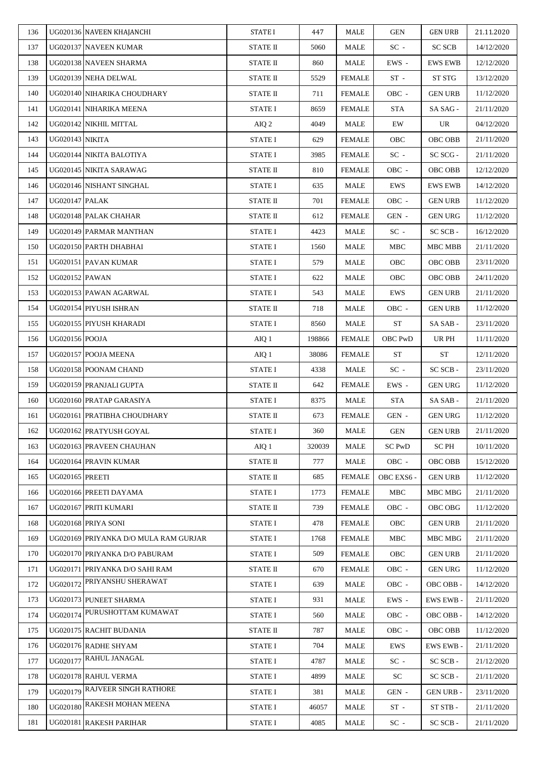| 136 |                        | UG020136 NAVEEN KHAJANCHI             | <b>STATE I</b>  | 447    | MALE          | <b>GEN</b>    | <b>GEN URB</b>   | 21.11.2020 |
|-----|------------------------|---------------------------------------|-----------------|--------|---------------|---------------|------------------|------------|
| 137 |                        | UG020137 NAVEEN KUMAR                 | <b>STATE II</b> | 5060   | MALE          | $SC -$        | <b>SC SCB</b>    | 14/12/2020 |
| 138 |                        | UG020138 NAVEEN SHARMA                | <b>STATE II</b> | 860    | MALE          | EWS -         | <b>EWS EWB</b>   | 12/12/2020 |
| 139 |                        | UG020139 NEHA DELWAL                  | STATE II        | 5529   | <b>FEMALE</b> | $ST -$        | ST STG           | 13/12/2020 |
| 140 |                        | UG020140 NIHARIKA CHOUDHARY           | <b>STATE II</b> | 711    | <b>FEMALE</b> | OBC -         | <b>GEN URB</b>   | 11/12/2020 |
| 141 |                        | UG020141 NIHARIKA MEENA               | <b>STATE I</b>  | 8659   | <b>FEMALE</b> | <b>STA</b>    | SA SAG -         | 21/11/2020 |
| 142 |                        | UG020142 NIKHIL MITTAL                | AIQ 2           | 4049   | MALE          | EW            | UR               | 04/12/2020 |
| 143 | <b>UG020143 NIKITA</b> |                                       | <b>STATE I</b>  | 629    | FEMALE        | OBC           | OBC OBB          | 21/11/2020 |
| 144 |                        | UG020144 NIKITA BALOTIYA              | STATE I         | 3985   | <b>FEMALE</b> | $SC -$        | SC SCG -         | 21/11/2020 |
| 145 |                        | UG020145 NIKITA SARAWAG               | <b>STATE II</b> | 810    | <b>FEMALE</b> | OBC -         | OBC OBB          | 12/12/2020 |
| 146 |                        | UG020146 NISHANT SINGHAL              | <b>STATE I</b>  | 635    | MALE          | <b>EWS</b>    | <b>EWS EWB</b>   | 14/12/2020 |
| 147 | <b>UG020147 PALAK</b>  |                                       | <b>STATE II</b> | 701    | <b>FEMALE</b> | OBC -         | <b>GEN URB</b>   | 11/12/2020 |
| 148 |                        | UG020148 PALAK CHAHAR                 | <b>STATE II</b> | 612    | <b>FEMALE</b> | GEN -         | <b>GEN URG</b>   | 11/12/2020 |
| 149 |                        | UG020149 PARMAR MANTHAN               | <b>STATE I</b>  | 4423   | MALE          | $SC -$        | SC SCB-          | 16/12/2020 |
| 150 |                        | UG020150 PARTH DHABHAI                | <b>STATE I</b>  | 1560   | MALE          | MBC           | MBC MBB          | 21/11/2020 |
| 151 |                        | UG020151 PAVAN KUMAR                  | <b>STATE I</b>  | 579    | MALE          | OBC           | OBC OBB          | 23/11/2020 |
| 152 | <b>UG020152 PAWAN</b>  |                                       | <b>STATE I</b>  | 622    | MALE          | OBC           | <b>OBC OBB</b>   | 24/11/2020 |
| 153 |                        | UG020153 PAWAN AGARWAL                | STATE I         | 543    | MALE          | EWS           | <b>GEN URB</b>   | 21/11/2020 |
| 154 |                        | UG020154 PIYUSH ISHRAN                | STATE II        | 718    | MALE          | OBC -         | <b>GEN URB</b>   | 11/12/2020 |
| 155 |                        | UG020155 PIYUSH KHARADI               | <b>STATE I</b>  | 8560   | MALE          | ${\rm ST}$    | SA SAB -         | 23/11/2020 |
| 156 | UG020156 POOJA         |                                       | AIQ 1           | 198866 | <b>FEMALE</b> | OBC PwD       | UR PH            | 11/11/2020 |
| 157 |                        | UG020157 POOJA MEENA                  | AIQ 1           | 38086  | <b>FEMALE</b> | <b>ST</b>     | <b>ST</b>        | 12/11/2020 |
| 158 |                        | UG020158 POONAM CHAND                 | STATE I         | 4338   | MALE          | $SC -$        | SC SCB-          | 23/11/2020 |
| 159 |                        | UG020159 PRANJALI GUPTA               | <b>STATE II</b> | 642    | <b>FEMALE</b> | EWS -         | <b>GEN URG</b>   | 11/12/2020 |
| 160 |                        | UG020160 PRATAP GARASIYA              | <b>STATE I</b>  | 8375   | MALE          | STA           | SA SAB-          | 21/11/2020 |
| 161 |                        | UG020161 PRATIBHA CHOUDHARY           | STATE II        | 673    | <b>FEMALE</b> | GEN -         | <b>GEN URG</b>   | 11/12/2020 |
| 162 |                        | UG020162 PRATYUSH GOYAL               | STATE I         | 360    | MALE          | GEN           | <b>GEN URB</b>   | 21/11/2020 |
| 163 |                        | UG020163 PRAVEEN CHAUHAN              | AIQ 1           | 320039 | <b>MALE</b>   | <b>SC PwD</b> | SC PH            | 10/11/2020 |
| 164 |                        | UG020164 PRAVIN KUMAR                 | <b>STATE II</b> | 777    | MALE          | OBC -         | OBC OBB          | 15/12/2020 |
| 165 | <b>UG020165 PREETI</b> |                                       | <b>STATE II</b> | 685    | <b>FEMALE</b> | OBC EXS6 -    | <b>GEN URB</b>   | 11/12/2020 |
| 166 |                        | UG020166 PREETI DAYAMA                | <b>STATE I</b>  | 1773   | <b>FEMALE</b> | <b>MBC</b>    | MBC MBG          | 21/11/2020 |
| 167 |                        | UG020167 PRITI KUMARI                 | STATE II        | 739    | FEMALE        | OBC -         | OBC OBG          | 11/12/2020 |
| 168 |                        | UG020168 PRIYA SONI                   | <b>STATE I</b>  | 478    | <b>FEMALE</b> | OBC           | <b>GEN URB</b>   | 21/11/2020 |
| 169 |                        | UG020169 PRIYANKA D/O MULA RAM GURJAR | <b>STATE I</b>  | 1768   | <b>FEMALE</b> | MBC           | MBC MBG          | 21/11/2020 |
| 170 |                        | UG020170 PRIYANKA D/O PABURAM         | <b>STATE I</b>  | 509    | <b>FEMALE</b> | OBC           | <b>GEN URB</b>   | 21/11/2020 |
| 171 |                        | UG020171 PRIYANKA D/O SAHI RAM        | STATE II        | 670    | <b>FEMALE</b> | OBC -         | <b>GEN URG</b>   | 11/12/2020 |
| 172 | UG020172               | PRIYANSHU SHERAWAT                    | <b>STATE I</b>  | 639    | MALE          | OBC -         | OBC OBB-         | 14/12/2020 |
| 173 |                        | UG020173 PUNEET SHARMA                | STATE I         | 931    | MALE          | EWS -         | <b>EWS EWB-</b>  | 21/11/2020 |
| 174 |                        | UG020174 PURUSHOTTAM KUMAWAT          | <b>STATE I</b>  | 560    | MALE          | OBC -         | OBC OBB-         | 14/12/2020 |
| 175 |                        | UG020175 RACHIT BUDANIA               | <b>STATE II</b> | 787    | MALE          | OBC -         | OBC OBB          | 11/12/2020 |
| 176 |                        | UG020176 RADHE SHYAM                  | <b>STATE I</b>  | 704    | MALE          | EWS           | <b>EWS EWB-</b>  | 21/11/2020 |
| 177 |                        | UG020177 RAHUL JANAGAL                | <b>STATE I</b>  | 4787   | MALE          | $SC -$        | SC SCB-          | 21/12/2020 |
| 178 |                        | UG020178 RAHUL VERMA                  | <b>STATE I</b>  | 4899   | MALE          | SC            | SC SCB -         | 21/11/2020 |
| 179 |                        | UG020179 RAJVEER SINGH RATHORE        | <b>STATE I</b>  | 381    | MALE          | GEN -         | <b>GEN URB -</b> | 23/11/2020 |
| 180 |                        | UG020180 RAKESH MOHAN MEENA           | <b>STATE I</b>  | 46057  | MALE          | $ST -$        | ST STB -         | 21/11/2020 |
| 181 |                        | UG020181 RAKESH PARIHAR               | <b>STATE I</b>  | 4085   | MALE          | $SC -$        | SC SCB -         | 21/11/2020 |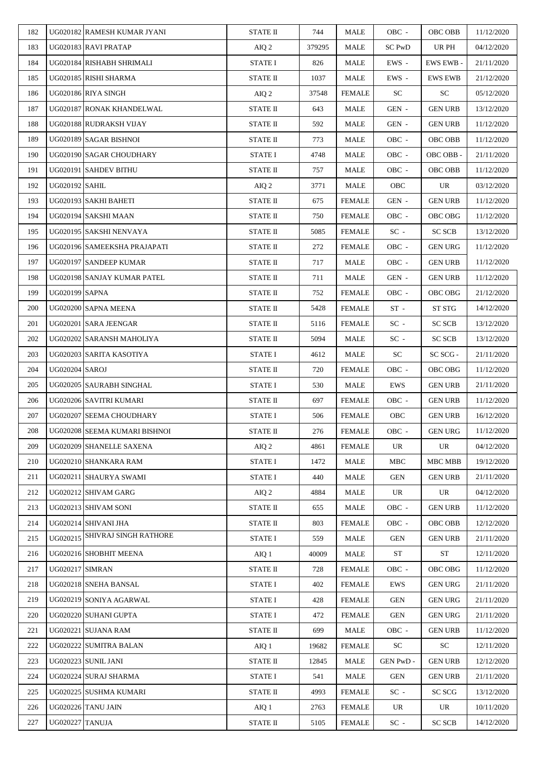| 183<br>UG020183 RAVI PRATAP<br>UR PH<br>AIQ 2<br>379295<br>MALE<br>SC PwD<br>04/12/2020<br>184<br>UG020184 RISHABH SHRIMALI<br><b>STATE I</b><br>EWS -<br>21/11/2020<br>826<br>MALE<br><b>EWS EWB-</b><br>185<br>UG020185 RISHI SHARMA<br>STATE II<br>EWS -<br>1037<br>MALE<br><b>EWS EWB</b><br>21/12/2020<br>UG020186 RIYA SINGH<br><b>SC</b><br><b>SC</b><br>186<br>37548<br><b>FEMALE</b><br>05/12/2020<br>AIQ 2<br>187<br>UG020187 RONAK KHANDELWAL<br><b>STATE II</b><br>GEN -<br><b>GEN URB</b><br>643<br>MALE<br>13/12/2020<br>UG020188 RUDRAKSH VIJAY<br>188<br><b>STATE II</b><br>592<br>MALE<br>GEN -<br><b>GEN URB</b><br>11/12/2020<br>UG020189 SAGAR BISHNOI<br>OBC -<br>189<br>STATE II<br>773<br>MALE<br><b>OBC OBB</b><br>11/12/2020<br>UG020190 SAGAR CHOUDHARY<br><b>STATE I</b><br>190<br>4748<br>MALE<br>OBC -<br>OBC OBB -<br>21/11/2020<br>UG020191 SAHDEV BITHU<br><b>STATE II</b><br>191<br>757<br>MALE<br>OBC -<br>OBC OBB<br>11/12/2020<br>192<br><b>UG020192 SAHIL</b><br>MALE<br>UR<br>AIQ 2<br>3771<br><b>OBC</b><br>03/12/2020<br>193<br>UG020193 SAKHI BAHETI<br><b>STATE II</b><br><b>FEMALE</b><br>GEN -<br><b>GEN URB</b><br>675<br>11/12/2020<br>UG020194 SAKSHI MAAN<br>OBC -<br>194<br>STATE II<br>750<br><b>FEMALE</b><br>OBC OBG<br>11/12/2020<br>UG020195 SAKSHI NENVAYA<br>$SC -$<br><b>SC SCB</b><br>195<br>STATE II<br>5085<br><b>FEMALE</b><br>13/12/2020<br>196<br>UG020196 SAMEEKSHA PRAJAPATI<br><b>STATE II</b><br>272<br><b>FEMALE</b><br>OBC -<br><b>GEN URG</b><br>11/12/2020<br>197<br>UG020197 SANDEEP KUMAR<br>11/12/2020<br>STATE II<br>717<br>MALE<br>OBC -<br><b>GEN URB</b><br>198<br><b>STATE II</b><br><b>MALE</b><br>GEN -<br>UG020198 SANJAY KUMAR PATEL<br>711<br><b>GEN URB</b><br>11/12/2020<br>199<br><b>UG020199 SAPNA</b><br>21/12/2020<br><b>STATE II</b><br>OBC -<br>OBC OBG<br>752<br><b>FEMALE</b><br>UG020200 SAPNA MEENA<br>$ST -$<br>ST STG<br>200<br>STATE II<br>5428<br>FEMALE<br>14/12/2020<br>201<br>UG020201 SARA JEENGAR<br><b>SC SCB</b><br><b>STATE II</b><br>5116<br><b>FEMALE</b><br>$SC -$<br>13/12/2020<br>202<br>UG020202 SARANSH MAHOLIYA<br>STATE II<br>5094<br>MALE<br>$SC -$<br><b>SC SCB</b><br>13/12/2020<br>203<br>UG020203 SARITA KASOTIYA<br>SC <sub>1</sub><br>SC SCG -<br>21/11/2020<br><b>STATE I</b><br>4612<br>MALE<br>204<br><b>UG020204 SAROJ</b><br>STATE II<br>720<br>OBC -<br>OBC OBG<br>FEMALE<br>11/12/2020<br><b>STATE I</b><br><b>MALE</b><br>EWS<br>205<br>UG020205 SAURABH SINGHAL<br>530<br><b>GEN URB</b><br>21/11/2020<br>UG020206 SAVITRI KUMARI<br><b>STATE II</b><br><b>FEMALE</b><br>OBC -<br><b>GEN URB</b><br>206<br>697<br>11/12/2020<br>207<br>UG020207 SEEMA CHOUDHARY<br>OBC<br><b>STATE I</b><br>506<br><b>FEMALE</b><br><b>GEN URB</b><br>16/12/2020<br>208<br>UG020208 SEEMA KUMARI BISHNOI<br>STATE II<br>276<br><b>FEMALE</b><br>OBC -<br><b>GEN URG</b><br>11/12/2020<br>UG020209 SHANELLE SAXENA<br>209<br>4861<br><b>FEMALE</b><br>UR<br>04/12/2020<br>AIQ 2<br>UR<br>210<br>19/12/2020<br>UG020210 SHANKARA RAM<br><b>STATE I</b><br>1472<br>MALE<br>MBC<br>MBC MBB<br>UG020211 SHAURYA SWAMI<br>440<br>211<br><b>STATE I</b><br>MALE<br>GEN<br><b>GEN URB</b><br>21/11/2020<br>212<br>UG020212 SHIVAM GARG<br>4884<br>MALE<br>UR<br>UR<br>04/12/2020<br>AIQ 2<br>UG020213 SHIVAM SONI<br>213<br>STATE II<br>MALE<br>OBC -<br><b>GEN URB</b><br>11/12/2020<br>655<br>UG020214 SHIVANI JHA<br>214<br><b>STATE II</b><br><b>OBC OBB</b><br>12/12/2020<br>803<br><b>FEMALE</b><br>OBC -<br>UG020215 SHIVRAJ SINGH RATHORE<br>215<br><b>STATE I</b><br><b>MALE</b><br><b>GEN URB</b><br>21/11/2020<br>559<br>GEN<br>$\operatorname{ST}$<br>UG020216 SHOBHIT MEENA<br><b>ST</b><br>216<br>12/11/2020<br>AIQ 1<br>40009<br>MALE<br><b>UG020217 SIMRAN</b><br><b>STATE II</b><br><b>FEMALE</b><br>OBC -<br>OBC OBG<br>217<br>728<br>11/12/2020<br>218<br>UG020218 SNEHA BANSAL<br>21/11/2020<br><b>STATE I</b><br>402<br><b>GEN URG</b><br><b>FEMALE</b><br>EWS<br>UG020219 SONIYA AGARWAL<br><b>GEN URG</b><br>21/11/2020<br>219<br><b>STATE I</b><br>428<br>FEMALE<br>GEN<br>220<br>UG020220 SUHANI GUPTA<br><b>STATE I</b><br>472<br><b>FEMALE</b><br>GEN<br><b>GEN URG</b><br>21/11/2020<br>UG020221 SUJANA RAM<br><b>STATE II</b><br>221<br>699<br>MALE<br>OBC -<br><b>GEN URB</b><br>11/12/2020<br>UG020222 SUMITRA BALAN<br>SC<br>222<br>AIQ 1<br>19682<br>FEMALE<br>SC<br>12/11/2020<br>223<br>UG020223 SUNIL JANI<br><b>STATE II</b><br>GEN PwD -<br>12/12/2020<br>12845<br>MALE<br><b>GEN URB</b><br>224<br>UG020224 SURAJ SHARMA<br><b>STATE I</b><br>541<br>MALE<br>GEN<br><b>GEN URB</b><br>21/11/2020<br>225<br>UG020225 SUSHMA KUMARI<br>STATE II<br>4993<br>$SC -$<br>SC SCG<br>13/12/2020<br>FEMALE<br>UG020226 TANU JAIN<br>226<br>AIQ 1<br>2763<br><b>FEMALE</b><br>UR<br>UR<br>10/11/2020<br>227<br>UG020227 TANUJA<br><b>SC SCB</b><br>14/12/2020<br>STATE II<br>5105<br><b>FEMALE</b><br>$SC -$ | 182 | UG020182 RAMESH KUMAR JYANI | <b>STATE II</b> | 744 | MALE | OBC - | OBC OBB | 11/12/2020 |
|--------------------------------------------------------------------------------------------------------------------------------------------------------------------------------------------------------------------------------------------------------------------------------------------------------------------------------------------------------------------------------------------------------------------------------------------------------------------------------------------------------------------------------------------------------------------------------------------------------------------------------------------------------------------------------------------------------------------------------------------------------------------------------------------------------------------------------------------------------------------------------------------------------------------------------------------------------------------------------------------------------------------------------------------------------------------------------------------------------------------------------------------------------------------------------------------------------------------------------------------------------------------------------------------------------------------------------------------------------------------------------------------------------------------------------------------------------------------------------------------------------------------------------------------------------------------------------------------------------------------------------------------------------------------------------------------------------------------------------------------------------------------------------------------------------------------------------------------------------------------------------------------------------------------------------------------------------------------------------------------------------------------------------------------------------------------------------------------------------------------------------------------------------------------------------------------------------------------------------------------------------------------------------------------------------------------------------------------------------------------------------------------------------------------------------------------------------------------------------------------------------------------------------------------------------------------------------------------------------------------------------------------------------------------------------------------------------------------------------------------------------------------------------------------------------------------------------------------------------------------------------------------------------------------------------------------------------------------------------------------------------------------------------------------------------------------------------------------------------------------------------------------------------------------------------------------------------------------------------------------------------------------------------------------------------------------------------------------------------------------------------------------------------------------------------------------------------------------------------------------------------------------------------------------------------------------------------------------------------------------------------------------------------------------------------------------------------------------------------------------------------------------------------------------------------------------------------------------------------------------------------------------------------------------------------------------------------------------------------------------------------------------------------------------------------------------------------------------------------------------------------------------------------------------------------------------------------------------------------------------------------------------------------------------------------------------------------------------------------------------------------------------------------------------------------------------------------------------------------------------------------------------------------------------------------------------------------------------------------------------------------------------------------------------------------------------------------------------------------------------------------------------------------------------------------------------------------------------------------------------------------------------------------------------------------------------------------|-----|-----------------------------|-----------------|-----|------|-------|---------|------------|
|                                                                                                                                                                                                                                                                                                                                                                                                                                                                                                                                                                                                                                                                                                                                                                                                                                                                                                                                                                                                                                                                                                                                                                                                                                                                                                                                                                                                                                                                                                                                                                                                                                                                                                                                                                                                                                                                                                                                                                                                                                                                                                                                                                                                                                                                                                                                                                                                                                                                                                                                                                                                                                                                                                                                                                                                                                                                                                                                                                                                                                                                                                                                                                                                                                                                                                                                                                                                                                                                                                                                                                                                                                                                                                                                                                                                                                                                                                                                                                                                                                                                                                                                                                                                                                                                                                                                                                                                                                                                                                                                                                                                                                                                                                                                                                                                                                                                                                                                                        |     |                             |                 |     |      |       |         |            |
|                                                                                                                                                                                                                                                                                                                                                                                                                                                                                                                                                                                                                                                                                                                                                                                                                                                                                                                                                                                                                                                                                                                                                                                                                                                                                                                                                                                                                                                                                                                                                                                                                                                                                                                                                                                                                                                                                                                                                                                                                                                                                                                                                                                                                                                                                                                                                                                                                                                                                                                                                                                                                                                                                                                                                                                                                                                                                                                                                                                                                                                                                                                                                                                                                                                                                                                                                                                                                                                                                                                                                                                                                                                                                                                                                                                                                                                                                                                                                                                                                                                                                                                                                                                                                                                                                                                                                                                                                                                                                                                                                                                                                                                                                                                                                                                                                                                                                                                                                        |     |                             |                 |     |      |       |         |            |
|                                                                                                                                                                                                                                                                                                                                                                                                                                                                                                                                                                                                                                                                                                                                                                                                                                                                                                                                                                                                                                                                                                                                                                                                                                                                                                                                                                                                                                                                                                                                                                                                                                                                                                                                                                                                                                                                                                                                                                                                                                                                                                                                                                                                                                                                                                                                                                                                                                                                                                                                                                                                                                                                                                                                                                                                                                                                                                                                                                                                                                                                                                                                                                                                                                                                                                                                                                                                                                                                                                                                                                                                                                                                                                                                                                                                                                                                                                                                                                                                                                                                                                                                                                                                                                                                                                                                                                                                                                                                                                                                                                                                                                                                                                                                                                                                                                                                                                                                                        |     |                             |                 |     |      |       |         |            |
|                                                                                                                                                                                                                                                                                                                                                                                                                                                                                                                                                                                                                                                                                                                                                                                                                                                                                                                                                                                                                                                                                                                                                                                                                                                                                                                                                                                                                                                                                                                                                                                                                                                                                                                                                                                                                                                                                                                                                                                                                                                                                                                                                                                                                                                                                                                                                                                                                                                                                                                                                                                                                                                                                                                                                                                                                                                                                                                                                                                                                                                                                                                                                                                                                                                                                                                                                                                                                                                                                                                                                                                                                                                                                                                                                                                                                                                                                                                                                                                                                                                                                                                                                                                                                                                                                                                                                                                                                                                                                                                                                                                                                                                                                                                                                                                                                                                                                                                                                        |     |                             |                 |     |      |       |         |            |
|                                                                                                                                                                                                                                                                                                                                                                                                                                                                                                                                                                                                                                                                                                                                                                                                                                                                                                                                                                                                                                                                                                                                                                                                                                                                                                                                                                                                                                                                                                                                                                                                                                                                                                                                                                                                                                                                                                                                                                                                                                                                                                                                                                                                                                                                                                                                                                                                                                                                                                                                                                                                                                                                                                                                                                                                                                                                                                                                                                                                                                                                                                                                                                                                                                                                                                                                                                                                                                                                                                                                                                                                                                                                                                                                                                                                                                                                                                                                                                                                                                                                                                                                                                                                                                                                                                                                                                                                                                                                                                                                                                                                                                                                                                                                                                                                                                                                                                                                                        |     |                             |                 |     |      |       |         |            |
|                                                                                                                                                                                                                                                                                                                                                                                                                                                                                                                                                                                                                                                                                                                                                                                                                                                                                                                                                                                                                                                                                                                                                                                                                                                                                                                                                                                                                                                                                                                                                                                                                                                                                                                                                                                                                                                                                                                                                                                                                                                                                                                                                                                                                                                                                                                                                                                                                                                                                                                                                                                                                                                                                                                                                                                                                                                                                                                                                                                                                                                                                                                                                                                                                                                                                                                                                                                                                                                                                                                                                                                                                                                                                                                                                                                                                                                                                                                                                                                                                                                                                                                                                                                                                                                                                                                                                                                                                                                                                                                                                                                                                                                                                                                                                                                                                                                                                                                                                        |     |                             |                 |     |      |       |         |            |
|                                                                                                                                                                                                                                                                                                                                                                                                                                                                                                                                                                                                                                                                                                                                                                                                                                                                                                                                                                                                                                                                                                                                                                                                                                                                                                                                                                                                                                                                                                                                                                                                                                                                                                                                                                                                                                                                                                                                                                                                                                                                                                                                                                                                                                                                                                                                                                                                                                                                                                                                                                                                                                                                                                                                                                                                                                                                                                                                                                                                                                                                                                                                                                                                                                                                                                                                                                                                                                                                                                                                                                                                                                                                                                                                                                                                                                                                                                                                                                                                                                                                                                                                                                                                                                                                                                                                                                                                                                                                                                                                                                                                                                                                                                                                                                                                                                                                                                                                                        |     |                             |                 |     |      |       |         |            |
|                                                                                                                                                                                                                                                                                                                                                                                                                                                                                                                                                                                                                                                                                                                                                                                                                                                                                                                                                                                                                                                                                                                                                                                                                                                                                                                                                                                                                                                                                                                                                                                                                                                                                                                                                                                                                                                                                                                                                                                                                                                                                                                                                                                                                                                                                                                                                                                                                                                                                                                                                                                                                                                                                                                                                                                                                                                                                                                                                                                                                                                                                                                                                                                                                                                                                                                                                                                                                                                                                                                                                                                                                                                                                                                                                                                                                                                                                                                                                                                                                                                                                                                                                                                                                                                                                                                                                                                                                                                                                                                                                                                                                                                                                                                                                                                                                                                                                                                                                        |     |                             |                 |     |      |       |         |            |
|                                                                                                                                                                                                                                                                                                                                                                                                                                                                                                                                                                                                                                                                                                                                                                                                                                                                                                                                                                                                                                                                                                                                                                                                                                                                                                                                                                                                                                                                                                                                                                                                                                                                                                                                                                                                                                                                                                                                                                                                                                                                                                                                                                                                                                                                                                                                                                                                                                                                                                                                                                                                                                                                                                                                                                                                                                                                                                                                                                                                                                                                                                                                                                                                                                                                                                                                                                                                                                                                                                                                                                                                                                                                                                                                                                                                                                                                                                                                                                                                                                                                                                                                                                                                                                                                                                                                                                                                                                                                                                                                                                                                                                                                                                                                                                                                                                                                                                                                                        |     |                             |                 |     |      |       |         |            |
|                                                                                                                                                                                                                                                                                                                                                                                                                                                                                                                                                                                                                                                                                                                                                                                                                                                                                                                                                                                                                                                                                                                                                                                                                                                                                                                                                                                                                                                                                                                                                                                                                                                                                                                                                                                                                                                                                                                                                                                                                                                                                                                                                                                                                                                                                                                                                                                                                                                                                                                                                                                                                                                                                                                                                                                                                                                                                                                                                                                                                                                                                                                                                                                                                                                                                                                                                                                                                                                                                                                                                                                                                                                                                                                                                                                                                                                                                                                                                                                                                                                                                                                                                                                                                                                                                                                                                                                                                                                                                                                                                                                                                                                                                                                                                                                                                                                                                                                                                        |     |                             |                 |     |      |       |         |            |
|                                                                                                                                                                                                                                                                                                                                                                                                                                                                                                                                                                                                                                                                                                                                                                                                                                                                                                                                                                                                                                                                                                                                                                                                                                                                                                                                                                                                                                                                                                                                                                                                                                                                                                                                                                                                                                                                                                                                                                                                                                                                                                                                                                                                                                                                                                                                                                                                                                                                                                                                                                                                                                                                                                                                                                                                                                                                                                                                                                                                                                                                                                                                                                                                                                                                                                                                                                                                                                                                                                                                                                                                                                                                                                                                                                                                                                                                                                                                                                                                                                                                                                                                                                                                                                                                                                                                                                                                                                                                                                                                                                                                                                                                                                                                                                                                                                                                                                                                                        |     |                             |                 |     |      |       |         |            |
|                                                                                                                                                                                                                                                                                                                                                                                                                                                                                                                                                                                                                                                                                                                                                                                                                                                                                                                                                                                                                                                                                                                                                                                                                                                                                                                                                                                                                                                                                                                                                                                                                                                                                                                                                                                                                                                                                                                                                                                                                                                                                                                                                                                                                                                                                                                                                                                                                                                                                                                                                                                                                                                                                                                                                                                                                                                                                                                                                                                                                                                                                                                                                                                                                                                                                                                                                                                                                                                                                                                                                                                                                                                                                                                                                                                                                                                                                                                                                                                                                                                                                                                                                                                                                                                                                                                                                                                                                                                                                                                                                                                                                                                                                                                                                                                                                                                                                                                                                        |     |                             |                 |     |      |       |         |            |
|                                                                                                                                                                                                                                                                                                                                                                                                                                                                                                                                                                                                                                                                                                                                                                                                                                                                                                                                                                                                                                                                                                                                                                                                                                                                                                                                                                                                                                                                                                                                                                                                                                                                                                                                                                                                                                                                                                                                                                                                                                                                                                                                                                                                                                                                                                                                                                                                                                                                                                                                                                                                                                                                                                                                                                                                                                                                                                                                                                                                                                                                                                                                                                                                                                                                                                                                                                                                                                                                                                                                                                                                                                                                                                                                                                                                                                                                                                                                                                                                                                                                                                                                                                                                                                                                                                                                                                                                                                                                                                                                                                                                                                                                                                                                                                                                                                                                                                                                                        |     |                             |                 |     |      |       |         |            |
|                                                                                                                                                                                                                                                                                                                                                                                                                                                                                                                                                                                                                                                                                                                                                                                                                                                                                                                                                                                                                                                                                                                                                                                                                                                                                                                                                                                                                                                                                                                                                                                                                                                                                                                                                                                                                                                                                                                                                                                                                                                                                                                                                                                                                                                                                                                                                                                                                                                                                                                                                                                                                                                                                                                                                                                                                                                                                                                                                                                                                                                                                                                                                                                                                                                                                                                                                                                                                                                                                                                                                                                                                                                                                                                                                                                                                                                                                                                                                                                                                                                                                                                                                                                                                                                                                                                                                                                                                                                                                                                                                                                                                                                                                                                                                                                                                                                                                                                                                        |     |                             |                 |     |      |       |         |            |
|                                                                                                                                                                                                                                                                                                                                                                                                                                                                                                                                                                                                                                                                                                                                                                                                                                                                                                                                                                                                                                                                                                                                                                                                                                                                                                                                                                                                                                                                                                                                                                                                                                                                                                                                                                                                                                                                                                                                                                                                                                                                                                                                                                                                                                                                                                                                                                                                                                                                                                                                                                                                                                                                                                                                                                                                                                                                                                                                                                                                                                                                                                                                                                                                                                                                                                                                                                                                                                                                                                                                                                                                                                                                                                                                                                                                                                                                                                                                                                                                                                                                                                                                                                                                                                                                                                                                                                                                                                                                                                                                                                                                                                                                                                                                                                                                                                                                                                                                                        |     |                             |                 |     |      |       |         |            |
|                                                                                                                                                                                                                                                                                                                                                                                                                                                                                                                                                                                                                                                                                                                                                                                                                                                                                                                                                                                                                                                                                                                                                                                                                                                                                                                                                                                                                                                                                                                                                                                                                                                                                                                                                                                                                                                                                                                                                                                                                                                                                                                                                                                                                                                                                                                                                                                                                                                                                                                                                                                                                                                                                                                                                                                                                                                                                                                                                                                                                                                                                                                                                                                                                                                                                                                                                                                                                                                                                                                                                                                                                                                                                                                                                                                                                                                                                                                                                                                                                                                                                                                                                                                                                                                                                                                                                                                                                                                                                                                                                                                                                                                                                                                                                                                                                                                                                                                                                        |     |                             |                 |     |      |       |         |            |
|                                                                                                                                                                                                                                                                                                                                                                                                                                                                                                                                                                                                                                                                                                                                                                                                                                                                                                                                                                                                                                                                                                                                                                                                                                                                                                                                                                                                                                                                                                                                                                                                                                                                                                                                                                                                                                                                                                                                                                                                                                                                                                                                                                                                                                                                                                                                                                                                                                                                                                                                                                                                                                                                                                                                                                                                                                                                                                                                                                                                                                                                                                                                                                                                                                                                                                                                                                                                                                                                                                                                                                                                                                                                                                                                                                                                                                                                                                                                                                                                                                                                                                                                                                                                                                                                                                                                                                                                                                                                                                                                                                                                                                                                                                                                                                                                                                                                                                                                                        |     |                             |                 |     |      |       |         |            |
|                                                                                                                                                                                                                                                                                                                                                                                                                                                                                                                                                                                                                                                                                                                                                                                                                                                                                                                                                                                                                                                                                                                                                                                                                                                                                                                                                                                                                                                                                                                                                                                                                                                                                                                                                                                                                                                                                                                                                                                                                                                                                                                                                                                                                                                                                                                                                                                                                                                                                                                                                                                                                                                                                                                                                                                                                                                                                                                                                                                                                                                                                                                                                                                                                                                                                                                                                                                                                                                                                                                                                                                                                                                                                                                                                                                                                                                                                                                                                                                                                                                                                                                                                                                                                                                                                                                                                                                                                                                                                                                                                                                                                                                                                                                                                                                                                                                                                                                                                        |     |                             |                 |     |      |       |         |            |
|                                                                                                                                                                                                                                                                                                                                                                                                                                                                                                                                                                                                                                                                                                                                                                                                                                                                                                                                                                                                                                                                                                                                                                                                                                                                                                                                                                                                                                                                                                                                                                                                                                                                                                                                                                                                                                                                                                                                                                                                                                                                                                                                                                                                                                                                                                                                                                                                                                                                                                                                                                                                                                                                                                                                                                                                                                                                                                                                                                                                                                                                                                                                                                                                                                                                                                                                                                                                                                                                                                                                                                                                                                                                                                                                                                                                                                                                                                                                                                                                                                                                                                                                                                                                                                                                                                                                                                                                                                                                                                                                                                                                                                                                                                                                                                                                                                                                                                                                                        |     |                             |                 |     |      |       |         |            |
|                                                                                                                                                                                                                                                                                                                                                                                                                                                                                                                                                                                                                                                                                                                                                                                                                                                                                                                                                                                                                                                                                                                                                                                                                                                                                                                                                                                                                                                                                                                                                                                                                                                                                                                                                                                                                                                                                                                                                                                                                                                                                                                                                                                                                                                                                                                                                                                                                                                                                                                                                                                                                                                                                                                                                                                                                                                                                                                                                                                                                                                                                                                                                                                                                                                                                                                                                                                                                                                                                                                                                                                                                                                                                                                                                                                                                                                                                                                                                                                                                                                                                                                                                                                                                                                                                                                                                                                                                                                                                                                                                                                                                                                                                                                                                                                                                                                                                                                                                        |     |                             |                 |     |      |       |         |            |
|                                                                                                                                                                                                                                                                                                                                                                                                                                                                                                                                                                                                                                                                                                                                                                                                                                                                                                                                                                                                                                                                                                                                                                                                                                                                                                                                                                                                                                                                                                                                                                                                                                                                                                                                                                                                                                                                                                                                                                                                                                                                                                                                                                                                                                                                                                                                                                                                                                                                                                                                                                                                                                                                                                                                                                                                                                                                                                                                                                                                                                                                                                                                                                                                                                                                                                                                                                                                                                                                                                                                                                                                                                                                                                                                                                                                                                                                                                                                                                                                                                                                                                                                                                                                                                                                                                                                                                                                                                                                                                                                                                                                                                                                                                                                                                                                                                                                                                                                                        |     |                             |                 |     |      |       |         |            |
|                                                                                                                                                                                                                                                                                                                                                                                                                                                                                                                                                                                                                                                                                                                                                                                                                                                                                                                                                                                                                                                                                                                                                                                                                                                                                                                                                                                                                                                                                                                                                                                                                                                                                                                                                                                                                                                                                                                                                                                                                                                                                                                                                                                                                                                                                                                                                                                                                                                                                                                                                                                                                                                                                                                                                                                                                                                                                                                                                                                                                                                                                                                                                                                                                                                                                                                                                                                                                                                                                                                                                                                                                                                                                                                                                                                                                                                                                                                                                                                                                                                                                                                                                                                                                                                                                                                                                                                                                                                                                                                                                                                                                                                                                                                                                                                                                                                                                                                                                        |     |                             |                 |     |      |       |         |            |
|                                                                                                                                                                                                                                                                                                                                                                                                                                                                                                                                                                                                                                                                                                                                                                                                                                                                                                                                                                                                                                                                                                                                                                                                                                                                                                                                                                                                                                                                                                                                                                                                                                                                                                                                                                                                                                                                                                                                                                                                                                                                                                                                                                                                                                                                                                                                                                                                                                                                                                                                                                                                                                                                                                                                                                                                                                                                                                                                                                                                                                                                                                                                                                                                                                                                                                                                                                                                                                                                                                                                                                                                                                                                                                                                                                                                                                                                                                                                                                                                                                                                                                                                                                                                                                                                                                                                                                                                                                                                                                                                                                                                                                                                                                                                                                                                                                                                                                                                                        |     |                             |                 |     |      |       |         |            |
|                                                                                                                                                                                                                                                                                                                                                                                                                                                                                                                                                                                                                                                                                                                                                                                                                                                                                                                                                                                                                                                                                                                                                                                                                                                                                                                                                                                                                                                                                                                                                                                                                                                                                                                                                                                                                                                                                                                                                                                                                                                                                                                                                                                                                                                                                                                                                                                                                                                                                                                                                                                                                                                                                                                                                                                                                                                                                                                                                                                                                                                                                                                                                                                                                                                                                                                                                                                                                                                                                                                                                                                                                                                                                                                                                                                                                                                                                                                                                                                                                                                                                                                                                                                                                                                                                                                                                                                                                                                                                                                                                                                                                                                                                                                                                                                                                                                                                                                                                        |     |                             |                 |     |      |       |         |            |
|                                                                                                                                                                                                                                                                                                                                                                                                                                                                                                                                                                                                                                                                                                                                                                                                                                                                                                                                                                                                                                                                                                                                                                                                                                                                                                                                                                                                                                                                                                                                                                                                                                                                                                                                                                                                                                                                                                                                                                                                                                                                                                                                                                                                                                                                                                                                                                                                                                                                                                                                                                                                                                                                                                                                                                                                                                                                                                                                                                                                                                                                                                                                                                                                                                                                                                                                                                                                                                                                                                                                                                                                                                                                                                                                                                                                                                                                                                                                                                                                                                                                                                                                                                                                                                                                                                                                                                                                                                                                                                                                                                                                                                                                                                                                                                                                                                                                                                                                                        |     |                             |                 |     |      |       |         |            |
|                                                                                                                                                                                                                                                                                                                                                                                                                                                                                                                                                                                                                                                                                                                                                                                                                                                                                                                                                                                                                                                                                                                                                                                                                                                                                                                                                                                                                                                                                                                                                                                                                                                                                                                                                                                                                                                                                                                                                                                                                                                                                                                                                                                                                                                                                                                                                                                                                                                                                                                                                                                                                                                                                                                                                                                                                                                                                                                                                                                                                                                                                                                                                                                                                                                                                                                                                                                                                                                                                                                                                                                                                                                                                                                                                                                                                                                                                                                                                                                                                                                                                                                                                                                                                                                                                                                                                                                                                                                                                                                                                                                                                                                                                                                                                                                                                                                                                                                                                        |     |                             |                 |     |      |       |         |            |
|                                                                                                                                                                                                                                                                                                                                                                                                                                                                                                                                                                                                                                                                                                                                                                                                                                                                                                                                                                                                                                                                                                                                                                                                                                                                                                                                                                                                                                                                                                                                                                                                                                                                                                                                                                                                                                                                                                                                                                                                                                                                                                                                                                                                                                                                                                                                                                                                                                                                                                                                                                                                                                                                                                                                                                                                                                                                                                                                                                                                                                                                                                                                                                                                                                                                                                                                                                                                                                                                                                                                                                                                                                                                                                                                                                                                                                                                                                                                                                                                                                                                                                                                                                                                                                                                                                                                                                                                                                                                                                                                                                                                                                                                                                                                                                                                                                                                                                                                                        |     |                             |                 |     |      |       |         |            |
|                                                                                                                                                                                                                                                                                                                                                                                                                                                                                                                                                                                                                                                                                                                                                                                                                                                                                                                                                                                                                                                                                                                                                                                                                                                                                                                                                                                                                                                                                                                                                                                                                                                                                                                                                                                                                                                                                                                                                                                                                                                                                                                                                                                                                                                                                                                                                                                                                                                                                                                                                                                                                                                                                                                                                                                                                                                                                                                                                                                                                                                                                                                                                                                                                                                                                                                                                                                                                                                                                                                                                                                                                                                                                                                                                                                                                                                                                                                                                                                                                                                                                                                                                                                                                                                                                                                                                                                                                                                                                                                                                                                                                                                                                                                                                                                                                                                                                                                                                        |     |                             |                 |     |      |       |         |            |
|                                                                                                                                                                                                                                                                                                                                                                                                                                                                                                                                                                                                                                                                                                                                                                                                                                                                                                                                                                                                                                                                                                                                                                                                                                                                                                                                                                                                                                                                                                                                                                                                                                                                                                                                                                                                                                                                                                                                                                                                                                                                                                                                                                                                                                                                                                                                                                                                                                                                                                                                                                                                                                                                                                                                                                                                                                                                                                                                                                                                                                                                                                                                                                                                                                                                                                                                                                                                                                                                                                                                                                                                                                                                                                                                                                                                                                                                                                                                                                                                                                                                                                                                                                                                                                                                                                                                                                                                                                                                                                                                                                                                                                                                                                                                                                                                                                                                                                                                                        |     |                             |                 |     |      |       |         |            |
|                                                                                                                                                                                                                                                                                                                                                                                                                                                                                                                                                                                                                                                                                                                                                                                                                                                                                                                                                                                                                                                                                                                                                                                                                                                                                                                                                                                                                                                                                                                                                                                                                                                                                                                                                                                                                                                                                                                                                                                                                                                                                                                                                                                                                                                                                                                                                                                                                                                                                                                                                                                                                                                                                                                                                                                                                                                                                                                                                                                                                                                                                                                                                                                                                                                                                                                                                                                                                                                                                                                                                                                                                                                                                                                                                                                                                                                                                                                                                                                                                                                                                                                                                                                                                                                                                                                                                                                                                                                                                                                                                                                                                                                                                                                                                                                                                                                                                                                                                        |     |                             |                 |     |      |       |         |            |
|                                                                                                                                                                                                                                                                                                                                                                                                                                                                                                                                                                                                                                                                                                                                                                                                                                                                                                                                                                                                                                                                                                                                                                                                                                                                                                                                                                                                                                                                                                                                                                                                                                                                                                                                                                                                                                                                                                                                                                                                                                                                                                                                                                                                                                                                                                                                                                                                                                                                                                                                                                                                                                                                                                                                                                                                                                                                                                                                                                                                                                                                                                                                                                                                                                                                                                                                                                                                                                                                                                                                                                                                                                                                                                                                                                                                                                                                                                                                                                                                                                                                                                                                                                                                                                                                                                                                                                                                                                                                                                                                                                                                                                                                                                                                                                                                                                                                                                                                                        |     |                             |                 |     |      |       |         |            |
|                                                                                                                                                                                                                                                                                                                                                                                                                                                                                                                                                                                                                                                                                                                                                                                                                                                                                                                                                                                                                                                                                                                                                                                                                                                                                                                                                                                                                                                                                                                                                                                                                                                                                                                                                                                                                                                                                                                                                                                                                                                                                                                                                                                                                                                                                                                                                                                                                                                                                                                                                                                                                                                                                                                                                                                                                                                                                                                                                                                                                                                                                                                                                                                                                                                                                                                                                                                                                                                                                                                                                                                                                                                                                                                                                                                                                                                                                                                                                                                                                                                                                                                                                                                                                                                                                                                                                                                                                                                                                                                                                                                                                                                                                                                                                                                                                                                                                                                                                        |     |                             |                 |     |      |       |         |            |
|                                                                                                                                                                                                                                                                                                                                                                                                                                                                                                                                                                                                                                                                                                                                                                                                                                                                                                                                                                                                                                                                                                                                                                                                                                                                                                                                                                                                                                                                                                                                                                                                                                                                                                                                                                                                                                                                                                                                                                                                                                                                                                                                                                                                                                                                                                                                                                                                                                                                                                                                                                                                                                                                                                                                                                                                                                                                                                                                                                                                                                                                                                                                                                                                                                                                                                                                                                                                                                                                                                                                                                                                                                                                                                                                                                                                                                                                                                                                                                                                                                                                                                                                                                                                                                                                                                                                                                                                                                                                                                                                                                                                                                                                                                                                                                                                                                                                                                                                                        |     |                             |                 |     |      |       |         |            |
|                                                                                                                                                                                                                                                                                                                                                                                                                                                                                                                                                                                                                                                                                                                                                                                                                                                                                                                                                                                                                                                                                                                                                                                                                                                                                                                                                                                                                                                                                                                                                                                                                                                                                                                                                                                                                                                                                                                                                                                                                                                                                                                                                                                                                                                                                                                                                                                                                                                                                                                                                                                                                                                                                                                                                                                                                                                                                                                                                                                                                                                                                                                                                                                                                                                                                                                                                                                                                                                                                                                                                                                                                                                                                                                                                                                                                                                                                                                                                                                                                                                                                                                                                                                                                                                                                                                                                                                                                                                                                                                                                                                                                                                                                                                                                                                                                                                                                                                                                        |     |                             |                 |     |      |       |         |            |
|                                                                                                                                                                                                                                                                                                                                                                                                                                                                                                                                                                                                                                                                                                                                                                                                                                                                                                                                                                                                                                                                                                                                                                                                                                                                                                                                                                                                                                                                                                                                                                                                                                                                                                                                                                                                                                                                                                                                                                                                                                                                                                                                                                                                                                                                                                                                                                                                                                                                                                                                                                                                                                                                                                                                                                                                                                                                                                                                                                                                                                                                                                                                                                                                                                                                                                                                                                                                                                                                                                                                                                                                                                                                                                                                                                                                                                                                                                                                                                                                                                                                                                                                                                                                                                                                                                                                                                                                                                                                                                                                                                                                                                                                                                                                                                                                                                                                                                                                                        |     |                             |                 |     |      |       |         |            |
|                                                                                                                                                                                                                                                                                                                                                                                                                                                                                                                                                                                                                                                                                                                                                                                                                                                                                                                                                                                                                                                                                                                                                                                                                                                                                                                                                                                                                                                                                                                                                                                                                                                                                                                                                                                                                                                                                                                                                                                                                                                                                                                                                                                                                                                                                                                                                                                                                                                                                                                                                                                                                                                                                                                                                                                                                                                                                                                                                                                                                                                                                                                                                                                                                                                                                                                                                                                                                                                                                                                                                                                                                                                                                                                                                                                                                                                                                                                                                                                                                                                                                                                                                                                                                                                                                                                                                                                                                                                                                                                                                                                                                                                                                                                                                                                                                                                                                                                                                        |     |                             |                 |     |      |       |         |            |
|                                                                                                                                                                                                                                                                                                                                                                                                                                                                                                                                                                                                                                                                                                                                                                                                                                                                                                                                                                                                                                                                                                                                                                                                                                                                                                                                                                                                                                                                                                                                                                                                                                                                                                                                                                                                                                                                                                                                                                                                                                                                                                                                                                                                                                                                                                                                                                                                                                                                                                                                                                                                                                                                                                                                                                                                                                                                                                                                                                                                                                                                                                                                                                                                                                                                                                                                                                                                                                                                                                                                                                                                                                                                                                                                                                                                                                                                                                                                                                                                                                                                                                                                                                                                                                                                                                                                                                                                                                                                                                                                                                                                                                                                                                                                                                                                                                                                                                                                                        |     |                             |                 |     |      |       |         |            |
|                                                                                                                                                                                                                                                                                                                                                                                                                                                                                                                                                                                                                                                                                                                                                                                                                                                                                                                                                                                                                                                                                                                                                                                                                                                                                                                                                                                                                                                                                                                                                                                                                                                                                                                                                                                                                                                                                                                                                                                                                                                                                                                                                                                                                                                                                                                                                                                                                                                                                                                                                                                                                                                                                                                                                                                                                                                                                                                                                                                                                                                                                                                                                                                                                                                                                                                                                                                                                                                                                                                                                                                                                                                                                                                                                                                                                                                                                                                                                                                                                                                                                                                                                                                                                                                                                                                                                                                                                                                                                                                                                                                                                                                                                                                                                                                                                                                                                                                                                        |     |                             |                 |     |      |       |         |            |
|                                                                                                                                                                                                                                                                                                                                                                                                                                                                                                                                                                                                                                                                                                                                                                                                                                                                                                                                                                                                                                                                                                                                                                                                                                                                                                                                                                                                                                                                                                                                                                                                                                                                                                                                                                                                                                                                                                                                                                                                                                                                                                                                                                                                                                                                                                                                                                                                                                                                                                                                                                                                                                                                                                                                                                                                                                                                                                                                                                                                                                                                                                                                                                                                                                                                                                                                                                                                                                                                                                                                                                                                                                                                                                                                                                                                                                                                                                                                                                                                                                                                                                                                                                                                                                                                                                                                                                                                                                                                                                                                                                                                                                                                                                                                                                                                                                                                                                                                                        |     |                             |                 |     |      |       |         |            |
|                                                                                                                                                                                                                                                                                                                                                                                                                                                                                                                                                                                                                                                                                                                                                                                                                                                                                                                                                                                                                                                                                                                                                                                                                                                                                                                                                                                                                                                                                                                                                                                                                                                                                                                                                                                                                                                                                                                                                                                                                                                                                                                                                                                                                                                                                                                                                                                                                                                                                                                                                                                                                                                                                                                                                                                                                                                                                                                                                                                                                                                                                                                                                                                                                                                                                                                                                                                                                                                                                                                                                                                                                                                                                                                                                                                                                                                                                                                                                                                                                                                                                                                                                                                                                                                                                                                                                                                                                                                                                                                                                                                                                                                                                                                                                                                                                                                                                                                                                        |     |                             |                 |     |      |       |         |            |
|                                                                                                                                                                                                                                                                                                                                                                                                                                                                                                                                                                                                                                                                                                                                                                                                                                                                                                                                                                                                                                                                                                                                                                                                                                                                                                                                                                                                                                                                                                                                                                                                                                                                                                                                                                                                                                                                                                                                                                                                                                                                                                                                                                                                                                                                                                                                                                                                                                                                                                                                                                                                                                                                                                                                                                                                                                                                                                                                                                                                                                                                                                                                                                                                                                                                                                                                                                                                                                                                                                                                                                                                                                                                                                                                                                                                                                                                                                                                                                                                                                                                                                                                                                                                                                                                                                                                                                                                                                                                                                                                                                                                                                                                                                                                                                                                                                                                                                                                                        |     |                             |                 |     |      |       |         |            |
|                                                                                                                                                                                                                                                                                                                                                                                                                                                                                                                                                                                                                                                                                                                                                                                                                                                                                                                                                                                                                                                                                                                                                                                                                                                                                                                                                                                                                                                                                                                                                                                                                                                                                                                                                                                                                                                                                                                                                                                                                                                                                                                                                                                                                                                                                                                                                                                                                                                                                                                                                                                                                                                                                                                                                                                                                                                                                                                                                                                                                                                                                                                                                                                                                                                                                                                                                                                                                                                                                                                                                                                                                                                                                                                                                                                                                                                                                                                                                                                                                                                                                                                                                                                                                                                                                                                                                                                                                                                                                                                                                                                                                                                                                                                                                                                                                                                                                                                                                        |     |                             |                 |     |      |       |         |            |
|                                                                                                                                                                                                                                                                                                                                                                                                                                                                                                                                                                                                                                                                                                                                                                                                                                                                                                                                                                                                                                                                                                                                                                                                                                                                                                                                                                                                                                                                                                                                                                                                                                                                                                                                                                                                                                                                                                                                                                                                                                                                                                                                                                                                                                                                                                                                                                                                                                                                                                                                                                                                                                                                                                                                                                                                                                                                                                                                                                                                                                                                                                                                                                                                                                                                                                                                                                                                                                                                                                                                                                                                                                                                                                                                                                                                                                                                                                                                                                                                                                                                                                                                                                                                                                                                                                                                                                                                                                                                                                                                                                                                                                                                                                                                                                                                                                                                                                                                                        |     |                             |                 |     |      |       |         |            |
|                                                                                                                                                                                                                                                                                                                                                                                                                                                                                                                                                                                                                                                                                                                                                                                                                                                                                                                                                                                                                                                                                                                                                                                                                                                                                                                                                                                                                                                                                                                                                                                                                                                                                                                                                                                                                                                                                                                                                                                                                                                                                                                                                                                                                                                                                                                                                                                                                                                                                                                                                                                                                                                                                                                                                                                                                                                                                                                                                                                                                                                                                                                                                                                                                                                                                                                                                                                                                                                                                                                                                                                                                                                                                                                                                                                                                                                                                                                                                                                                                                                                                                                                                                                                                                                                                                                                                                                                                                                                                                                                                                                                                                                                                                                                                                                                                                                                                                                                                        |     |                             |                 |     |      |       |         |            |
|                                                                                                                                                                                                                                                                                                                                                                                                                                                                                                                                                                                                                                                                                                                                                                                                                                                                                                                                                                                                                                                                                                                                                                                                                                                                                                                                                                                                                                                                                                                                                                                                                                                                                                                                                                                                                                                                                                                                                                                                                                                                                                                                                                                                                                                                                                                                                                                                                                                                                                                                                                                                                                                                                                                                                                                                                                                                                                                                                                                                                                                                                                                                                                                                                                                                                                                                                                                                                                                                                                                                                                                                                                                                                                                                                                                                                                                                                                                                                                                                                                                                                                                                                                                                                                                                                                                                                                                                                                                                                                                                                                                                                                                                                                                                                                                                                                                                                                                                                        |     |                             |                 |     |      |       |         |            |